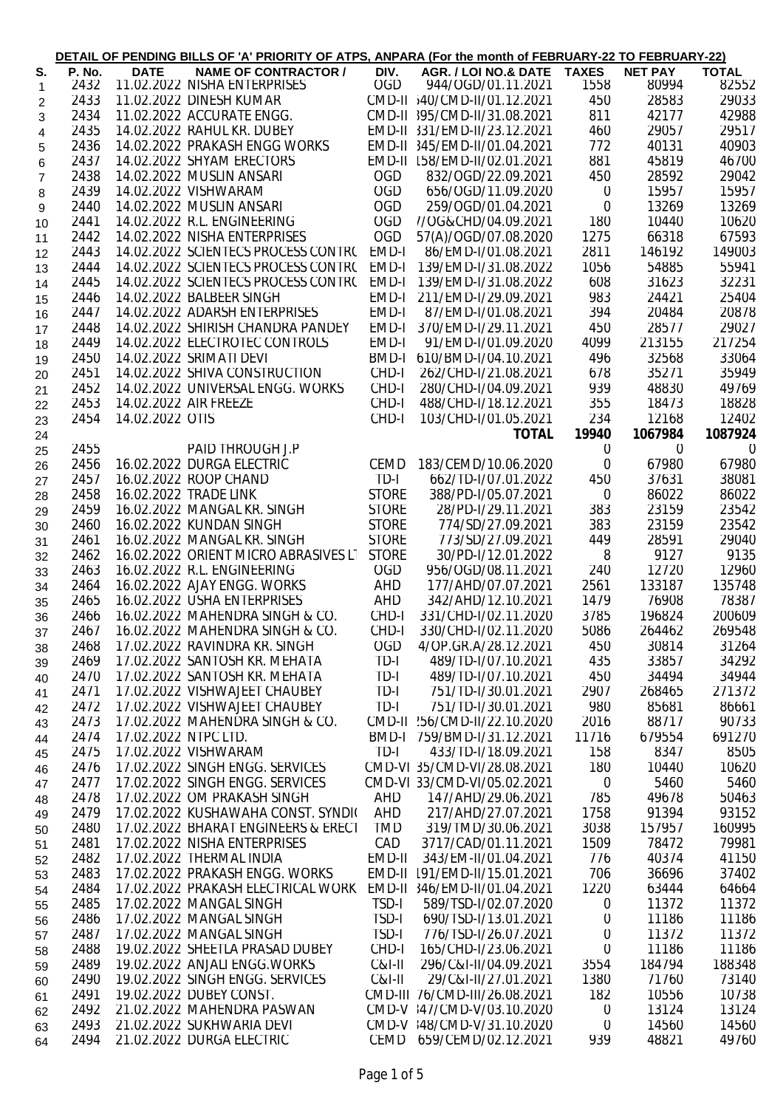|                         | DETAIL OF PENDING BILLS OF 'A' PRIORITY OF ATPS, ANPARA (For the month of FEBRUARY-22 TO FEBRUARY-22) |                      |                                                                      |              |                                                     |                  |                 |                 |  |
|-------------------------|-------------------------------------------------------------------------------------------------------|----------------------|----------------------------------------------------------------------|--------------|-----------------------------------------------------|------------------|-----------------|-----------------|--|
| S.                      | P. No.                                                                                                | <b>DATE</b>          | <b>NAME OF CONTRACTOR /</b>                                          | DIV.         | AGR. / LOI NO.& DATE                                | <b>TAXES</b>     | <b>NET PAY</b>  | <b>TOTAL</b>    |  |
| $\mathbf{1}$            | 2432                                                                                                  |                      | 11.02.2022 NISHA ENTERPRISES                                         | <b>OGD</b>   | 944/OGD/01.11.2021                                  | 1558             | 80994           | 82552           |  |
| $\overline{\mathbf{c}}$ | 2433                                                                                                  |                      | 11.02.2022 DINESH KUMAR                                              |              | CMD-II j40/CMD-II/01.12.2021                        | 450              | 28583           | 29033           |  |
| 3                       | 2434                                                                                                  |                      | 11.02.2022 ACCURATE ENGG.                                            |              | CMD-II 395/CMD-II/31.08.2021                        | 811              | 42177           | 42988           |  |
| 4                       | 2435                                                                                                  |                      | 14.02.2022 RAHUL KR. DUBEY                                           |              | EMD-II 331/EMD-II/23.12.2021                        | 460              | 29057           | 29517           |  |
| 5                       | 2436                                                                                                  |                      | 14.02.2022 PRAKASH ENGG WORKS                                        |              | EMD-II 345/EMD-II/01.04.2021                        | 772              | 40131           | 40903           |  |
| 6                       | 2437                                                                                                  |                      | 14.02.2022 SHYAM ERECTORS                                            |              | EMD-II 158/EMD-II/02.01.2021                        | 881              | 45819           | 46700           |  |
| 7                       | 2438                                                                                                  |                      | 14.02.2022 MUSLIN ANSARI                                             | <b>OGD</b>   | 832/OGD/22.09.2021                                  | 450              | 28592           | 29042           |  |
| 8                       | 2439                                                                                                  |                      | 14.02.2022 VISHWARAM                                                 | <b>OGD</b>   | 656/OGD/11.09.2020                                  | $\mathbf 0$      | 15957           | 15957           |  |
| 9                       | 2440                                                                                                  |                      | 14.02.2022 MUSLIN ANSARI                                             | <b>OGD</b>   | 259/OGD/01.04.2021                                  | $\mathbf 0$      | 13269           | 13269           |  |
| 10                      | 2441                                                                                                  |                      | 14.02.2022 R.L. ENGINEERING                                          | <b>OGD</b>   | 7/OG&CHD/04.09.2021                                 | 180              | 10440           | 10620           |  |
| 11                      | 2442                                                                                                  |                      | 14.02.2022 NISHA ENTERPRISES                                         | <b>OGD</b>   | 57(A)/OGD/07.08.2020                                | 1275             | 66318           | 67593           |  |
| 12                      | 2443                                                                                                  |                      | 14.02.2022 SCIENTECS PROCESS CONTR(EMD-I                             |              | 86/EMD-I/01.08.2021                                 | 2811             | 146192          | 149003          |  |
| 13                      | 2444                                                                                                  |                      | 14.02.2022 SCIENTECS PROCESS CONTRO                                  |              | EMD-I 139/EMD-I/31.08.2022                          | 1056             | 54885           | 55941<br>32231  |  |
| 14                      | 2445<br>2446                                                                                          |                      | 14.02.2022 SCIENTECS PROCESS CONTR(EMD-I<br>14.02.2022 BALBEER SINGH | EMD-I        | 139/EMD-I/31.08.2022<br>211/EMD-I/29.09.2021        | 608<br>983       | 31623<br>24421  | 25404           |  |
| 15                      | 2447                                                                                                  |                      | 14.02.2022 ADARSH ENTERPRISES                                        | EMD-I        | 87/EMD-I/01.08.2021                                 | 394              | 20484           | 20878           |  |
| 16                      | 2448                                                                                                  |                      | 14.02.2022 SHIRISH CHANDRA PANDEY                                    | EMD-I        | 370/EMD-I/29.11.2021                                | 450              | 28577           | 29027           |  |
| 17                      | 2449                                                                                                  |                      | 14.02.2022 ELECTROTEC CONTROLS                                       | EMD-I        | 91/EMD-I/01.09.2020                                 | 4099             | 213155          | 217254          |  |
| 18                      | 2450                                                                                                  |                      | 14.02.2022 SRIMATI DEVI                                              | BMD-I        | 610/BMD-I/04.10.2021                                | 496              | 32568           | 33064           |  |
| 19                      | 2451                                                                                                  |                      | 14.02.2022 SHIVA CONSTRUCTION                                        | CHD-I        | 262/CHD-I/21.08.2021                                | 678              | 35271           | 35949           |  |
| 20<br>21                | 2452                                                                                                  |                      | 14.02.2022 UNIVERSAL ENGG. WORKS                                     | CHD-I        | 280/CHD-I/04.09.2021                                | 939              | 48830           | 49769           |  |
| 22                      | 2453                                                                                                  |                      | 14.02.2022 AIR FREEZE                                                | CHD-I        | 488/CHD-I/18.12.2021                                | 355              | 18473           | 18828           |  |
| 23                      | 2454                                                                                                  | 14.02.2022 OTIS      |                                                                      | CHD-I        | 103/CHD-I/01.05.2021                                | 234              | 12168           | 12402           |  |
| 24                      |                                                                                                       |                      |                                                                      |              | <b>TOTAL</b>                                        | 19940            | 1067984         | 1087924         |  |
| 25                      | 2455                                                                                                  |                      | PAID THROUGH J.P                                                     |              |                                                     | $\boldsymbol{0}$ | $\overline{0}$  | $\overline{0}$  |  |
| 26                      | 2456                                                                                                  |                      | 16.02.2022 DURGA ELECTRIC                                            | <b>CEMD</b>  | 183/CEMD/10.06.2020                                 | $\mathbf 0$      | 67980           | 67980           |  |
| 27                      | 2457                                                                                                  |                      | 16.02.2022 ROOP CHAND                                                | TD-I         | 662/TD-I/07.01.2022                                 | 450              | 37631           | 38081           |  |
| 28                      | 2458                                                                                                  |                      | 16.02.2022 TRADE LINK                                                | <b>STORE</b> | 388/PD-I/05.07.2021                                 | $\overline{0}$   | 86022           | 86022           |  |
| 29                      | 2459                                                                                                  |                      | 16.02.2022 MANGAL KR. SINGH                                          | <b>STORE</b> | 28/PD-I/29.11.2021                                  | 383              | 23159           | 23542           |  |
| 30                      | 2460                                                                                                  |                      | 16.02.2022 KUNDAN SINGH                                              | <b>STORE</b> | 774/SD/27.09.2021                                   | 383              | 23159           | 23542           |  |
| 31                      | 2461                                                                                                  |                      | 16.02.2022 MANGAL KR. SINGH                                          | <b>STORE</b> | 773/SD/27.09.2021                                   | 449              | 28591           | 29040           |  |
| 32                      | 2462                                                                                                  |                      | 16.02.2022 ORIENT MICRO ABRASIVES LT                                 | <b>STORE</b> | 30/PD-I/12.01.2022                                  | 8                | 9127            | 9135            |  |
| 33                      | 2463                                                                                                  |                      | 16.02.2022 R.L. ENGINEERING                                          | <b>OGD</b>   | 956/OGD/08.11.2021                                  | 240              | 12720           | 12960           |  |
| 34                      | 2464                                                                                                  |                      | 16.02.2022 AJAY ENGG. WORKS                                          | AHD          | 177/AHD/07.07.2021                                  | 2561             | 133187          | 135748          |  |
| 35                      | 2465                                                                                                  |                      | 16.02.2022 USHA ENTERPRISES                                          | AHD          | 342/AHD/12.10.2021                                  | 1479             | 76908           | 78387           |  |
| 36                      | 2466                                                                                                  |                      | 16.02.2022 MAHENDRA SINGH & CO.                                      | CHD-I        | 331/CHD-I/02.11.2020                                | 3785             | 196824          | 200609          |  |
| 37                      | 2467                                                                                                  |                      | 16.02.2022 MAHENDRA SINGH & CO.                                      | CHD-I        | 330/CHD-I/02.11.2020                                | 5086             | 264462          | 269548          |  |
| 38                      | 2468                                                                                                  |                      | 17.02.2022 RAVINDRA KR. SINGH                                        | <b>OGD</b>   | 4/OP.GR.A/28.12.2021                                | 450              | 30814           | 31264           |  |
| 39                      | 2469                                                                                                  |                      | 17.02.2022 SANTOSH KR. MEHATA                                        | TD-I         | 489/TD-I/07.10.2021                                 | 435              | 33857           | 34292           |  |
| 40                      | 2470                                                                                                  |                      | 17.02.2022 SANTOSH KR. MEHATA                                        | TD-I         | 489/TD-I/07.10.2021                                 | 450              | 34494           | 34944           |  |
| 41                      | 2471                                                                                                  |                      | 17.02.2022 VISHWAJEET CHAUBEY                                        | TD-I         | 751/TD-I/30.01.2021                                 | 2907             | 268465          | 271372          |  |
| 42                      | 2472                                                                                                  |                      | 17.02.2022 VISHWAJEET CHAUBEY                                        | TD-I         | 751/TD-I/30.01.2021<br>CMD-II '56/CMD-II/22.10.2020 | 980              | 85681           | 86661           |  |
| 43                      | 2473<br>2474                                                                                          | 17.02.2022 NTPC LTD. | 17.02.2022 MAHENDRA SINGH & CO.                                      | BMD-I        | 759/BMD-I/31.12.2021                                | 2016<br>11716    | 88717<br>679554 | 90733<br>691270 |  |
| 44                      | 2475                                                                                                  |                      | 17.02.2022 VISHWARAM                                                 | TD-I         | 433/TD-I/18.09.2021                                 | 158              | 8347            | 8505            |  |
| 45                      | 2476                                                                                                  |                      | 17.02.2022 SINGH ENGG. SERVICES                                      |              | CMD-VI 35/CMD-VI/28.08.2021                         | 180              | 10440           | 10620           |  |
| 46<br>47                | 2477                                                                                                  |                      | 17.02.2022 SINGH ENGG. SERVICES                                      |              | CMD-VI 33/CMD-VI/05.02.2021                         | 0                | 5460            | 5460            |  |
| 48                      | 2478                                                                                                  |                      | 17.02.2022 OM PRAKASH SINGH                                          | AHD          | 147/AHD/29.06.2021                                  | 785              | 49678           | 50463           |  |
| 49                      | 2479                                                                                                  |                      | 17.02.2022 KUSHAWAHA CONST. SYNDI(                                   | AHD          | 217/AHD/27.07.2021                                  | 1758             | 91394           | 93152           |  |
| 50                      | 2480                                                                                                  |                      | 17.02.2022 BHARAT ENGINEERS & ERECT                                  | <b>TMD</b>   | 319/TMD/30.06.2021                                  | 3038             | 157957          | 160995          |  |
| 51                      | 2481                                                                                                  |                      | 17.02.2022 NISHA ENTERPRISES                                         | CAD          | 3717/CAD/01.11.2021                                 | 1509             | 78472           | 79981           |  |
| 52                      | 2482                                                                                                  |                      | 17.02.2022 THERMAL INDIA                                             | EMD-II       | 343/EM-II/01.04.2021                                | 776              | 40374           | 41150           |  |
| 53                      | 2483                                                                                                  |                      | 17.02.2022 PRAKASH ENGG. WORKS                                       |              | EMD-II 191/EMD-II/15.01.2021                        | 706              | 36696           | 37402           |  |
| 54                      | 2484                                                                                                  |                      | 17.02.2022 PRAKASH ELECTRICAL WORK                                   |              | EMD-II 346/EMD-II/01.04.2021                        | 1220             | 63444           | 64664           |  |
| 55                      | 2485                                                                                                  |                      | 17.02.2022 MANGAL SINGH                                              | TSD-I        | 589/TSD-I/02.07.2020                                | $\overline{0}$   | 11372           | 11372           |  |
| 56                      | 2486                                                                                                  |                      | 17.02.2022 MANGAL SINGH                                              | TSD-I        | 690/TSD-I/13.01.2021                                | $\overline{0}$   | 11186           | 11186           |  |
| 57                      | 2487                                                                                                  |                      | 17.02.2022 MANGAL SINGH                                              | TSD-I        | 776/TSD-I/26.07.2021                                | $\boldsymbol{0}$ | 11372           | 11372           |  |
| 58                      | 2488                                                                                                  |                      | 19.02.2022 SHEETLA PRASAD DUBEY                                      | CHD-I        | 165/CHD-I/23.06.2021                                | $\mathbf 0$      | 11186           | 11186           |  |
| 59                      | 2489                                                                                                  |                      | 19.02.2022 ANJALI ENGG. WORKS                                        | $C&I-II$     | 296/C&I-II/04.09.2021                               | 3554             | 184794          | 188348          |  |
| 60                      | 2490                                                                                                  |                      | 19.02.2022 SINGH ENGG. SERVICES                                      | $C&I-II$     | 29/C&I-II/27.01.2021                                | 1380             | 71760           | 73140           |  |
| 61                      | 2491                                                                                                  |                      | 19.02.2022 DUBEY CONST.                                              |              | CMD-III 76/CMD-III/26.08.2021                       | 182              | 10556           | 10738           |  |
| 62                      | 2492                                                                                                  |                      | 21.02.2022 MAHENDRA PASWAN                                           |              | CMD-V 147/CMD-V/03.10.2020                          | $\boldsymbol{0}$ | 13124           | 13124           |  |
| 63                      | 2493                                                                                                  |                      | 21.02.2022 SUKHWARIA DEVI                                            |              | CMD-V 148/CMD-V/31.10.2020                          | $\overline{0}$   | 14560           | 14560           |  |
| 64                      | 2494                                                                                                  |                      | 21.02.2022 DURGA ELECTRIC                                            |              | CEMD 659/CEMD/02.12.2021                            | 939              | 48821           | 49760           |  |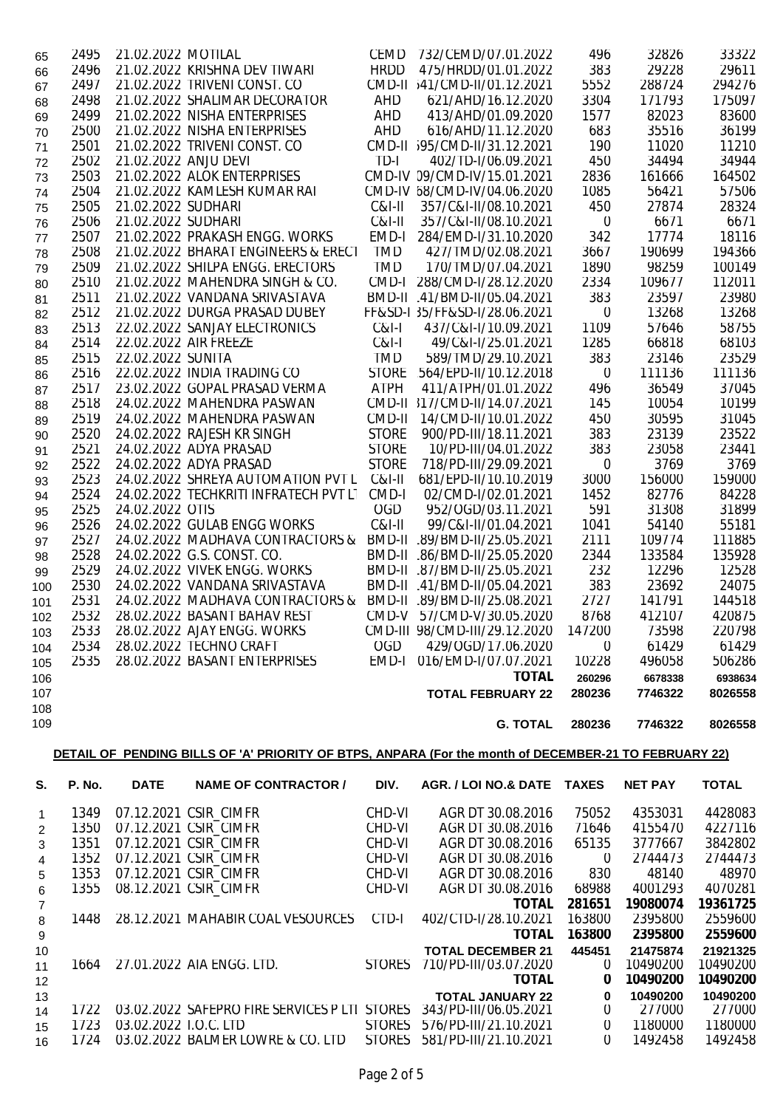| 65  | 2495   | 21.02.2022 MOTILAL   |                                                                                                       | <b>CEMD</b>  | 732/CEMD/07.01.2022           | 496              | 32826          | 33322        |
|-----|--------|----------------------|-------------------------------------------------------------------------------------------------------|--------------|-------------------------------|------------------|----------------|--------------|
| 66  | 2496   |                      | 21.02.2022 KRISHNA DEV TIWARI                                                                         | <b>HRDD</b>  | 475/HRDD/01.01.2022           | 383              | 29228          | 29611        |
| 67  | 2497   |                      | 21.02.2022 TRIVENI CONST. CO                                                                          |              | CMD-II j41/CMD-II/01.12.2021  | 5552             | 288724         | 294276       |
| 68  | 2498   |                      | 21.02.2022 SHALIMAR DECORATOR                                                                         | AHD          | 621/AHD/16.12.2020            | 3304             | 171793         | 175097       |
| 69  | 2499   |                      | 21.02.2022 NISHA ENTERPRISES                                                                          | AHD          | 413/AHD/01.09.2020            | 1577             | 82023          | 83600        |
| 70  | 2500   |                      | 21.02.2022 NISHA ENTERPRISES                                                                          | AHD          | 616/AHD/11.12.2020            | 683              | 35516          | 36199        |
| 71  | 2501   |                      | 21.02.2022 TRIVENI CONST. CO                                                                          |              | CMD-II 395/CMD-II/31.12.2021  | 190              | 11020          | 11210        |
| 72  | 2502   | 21.02.2022 ANJU DEVI |                                                                                                       | TD-I         | 402/TD-I/06.09.2021           | 450              | 34494          | 34944        |
| 73  | 2503   |                      | 21.02.2022 ALOK ENTERPRISES                                                                           |              | CMD-IV 09/CMD-IV/15.01.2021   | 2836             | 161666         | 164502       |
| 74  | 2504   |                      | 21.02.2022 KAMLESH KUMAR RAI                                                                          |              | CMD-IV 58/CMD-IV/04.06.2020   | 1085             | 56421          | 57506        |
| 75  | 2505   | 21.02.2022 SUDHARI   |                                                                                                       | $C&I-II$     | 357/C&I-II/08.10.2021         | 450              | 27874          | 28324        |
| 76  | 2506   | 21.02.2022 SUDHARI   |                                                                                                       | $C&I-II$     | 357/C&I-II/08.10.2021         | $\boldsymbol{0}$ | 6671           | 6671         |
| 77  | 2507   |                      | 21.02.2022 PRAKASH ENGG. WORKS                                                                        | EMD-I        | 284/EMD-I/31.10.2020          | 342              | 17774          | 18116        |
| 78  | 2508   |                      | 21.02.2022 BHARAT ENGINEERS & ERECT                                                                   | <b>TMD</b>   | 427/TMD/02.08.2021            | 3667             | 190699         | 194366       |
| 79  | 2509   |                      | 21.02.2022 SHILPA ENGG. ERECTORS                                                                      | <b>TMD</b>   | 170/TMD/07.04.2021            | 1890             | 98259          | 100149       |
| 80  | 2510   |                      | 21.02.2022 MAHENDRA SINGH & CO.                                                                       | CMD-I        | 288/CMD-I/28.12.2020          | 2334             | 109677         | 112011       |
| 81  | 2511   |                      | 21.02.2022 VANDANA SRIVASTAVA                                                                         | BMD-II       | 141/BMD-II/05.04.2021         | 383              | 23597          | 23980        |
| 82  | 2512   |                      | 21.02.2022 DURGA PRASAD DUBEY                                                                         |              | FF&SD-I 35/FF&SD-I/28.06.2021 | $\mathbf{0}$     | 13268          | 13268        |
| 83  | 2513   |                      | 22.02.2022 SANJAY ELECTRONICS                                                                         | $C&I-I$      | 437/C&I-I/10.09.2021          | 1109             | 57646          | 58755        |
| 84  | 2514   |                      | 22.02.2022 AIR FREEZE                                                                                 | $C&I-I$      | 49/C&I-I/25.01.2021           | 1285             | 66818          | 68103        |
| 85  | 2515   | 22.02.2022 SUNITA    |                                                                                                       | <b>TMD</b>   | 589/TMD/29.10.2021            | 383              | 23146          | 23529        |
| 86  | 2516   |                      | 22.02.2022 INDIA TRADING CO                                                                           | STORE        | 564/EPD-II/10.12.2018         | $\overline{0}$   | 111136         | 111136       |
| 87  | 2517   |                      | 23.02.2022 GOPAL PRASAD VERMA                                                                         | <b>ATPH</b>  | 411/ATPH/01.01.2022           | 496              | 36549          | 37045        |
| 88  | 2518   |                      | 24.02.2022 MAHENDRA PASWAN                                                                            |              | CMD-II 317/CMD-II/14.07.2021  | 145              | 10054          | 10199        |
| 89  | 2519   |                      | 24.02.2022 MAHENDRA PASWAN                                                                            | CMD-II       | 14/CMD-II/10.01.2022          | 450              | 30595          | 31045        |
| 90  | 2520   |                      | 24.02.2022 RAJESH KR SINGH                                                                            | <b>STORE</b> | 900/PD-III/18.11.2021         | 383              | 23139          | 23522        |
| 91  | 2521   |                      | 24.02.2022 ADYA PRASAD                                                                                | <b>STORE</b> | 10/PD-III/04.01.2022          | 383              | 23058          | 23441        |
| 92  | 2522   |                      | 24.02.2022 ADYA PRASAD                                                                                | <b>STORE</b> | 718/PD-III/29.09.2021         | $\overline{0}$   | 3769           | 3769         |
| 93  | 2523   |                      | 24.02.2022 SHREYA AUTOMATION PVT L                                                                    | $C&I-II$     | 681/EPD-II/10.10.2019         | 3000             | 156000         | 159000       |
| 94  | 2524   |                      | 24.02.2022 TECHKRITI INFRATECH PVT LT                                                                 | CMD-I        | 02/CMD-I/02.01.2021           | 1452             | 82776          | 84228        |
| 95  | 2525   | 24.02.2022 OTIS      |                                                                                                       | <b>OGD</b>   | 952/OGD/03.11.2021            | 591              | 31308          | 31899        |
| 96  | 2526   |                      | 24.02.2022 GULAB ENGG WORKS                                                                           | $C&I-II$     | 99/C&I-II/01.04.2021          | 1041             | 54140          | 55181        |
| 97  | 2527   |                      | 24.02.2022 MADHAVA CONTRACTORS &                                                                      | BMD-II       | 89/BMD-II/25.05.2021          | 2111             | 109774         | 111885       |
| 98  | 2528   |                      | 24.02.2022 G.S. CONST. CO.                                                                            | BMD-II       | 86/BMD-II/25.05.2020          | 2344             | 133584         | 135928       |
| 99  | 2529   |                      | 24.02.2022 VIVEK ENGG. WORKS                                                                          | BMD-II       | 87/BMD-II/25.05.2021          | 232              | 12296          | 12528        |
| 100 | 2530   |                      | 24.02.2022 VANDANA SRIVASTAVA                                                                         | BMD-II       | 41/BMD-II/05.04.2021          | 383              | 23692          | 24075        |
| 101 | 2531   |                      | 24.02.2022 MADHAVA CONTRACTORS &                                                                      | BMD-II       | 89/BMD-II/25.08.2021          | 2727             | 141791         | 144518       |
| 102 | 2532   |                      | 28.02.2022 BASANT BAHAV REST                                                                          | CMD-V        | 57/CMD-V/30.05.2020           | 8768             | 412107         | 420875       |
| 103 | 2533   |                      | 28.02.2022 AJAY ENGG. WORKS                                                                           |              | CMD-III 98/CMD-III/29.12.2020 | 147200           | 73598          | 220798       |
| 104 | 2534   |                      | 28.02.2022 TECHNO CRAFT                                                                               | <b>OGD</b>   | 429/OGD/17.06.2020            | $\overline{0}$   | 61429          | 61429        |
| 105 | 2535   |                      | 28.02.2022 BASANT ENTERPRISES                                                                         | EMD-I        | 016/EMD-I/07.07.2021          | 10228            | 496058         | 506286       |
| 106 |        |                      |                                                                                                       |              | <b>TOTAL</b>                  | 260296           | 6678338        | 6938634      |
| 107 |        |                      |                                                                                                       |              | <b>TOTAL FEBRUARY 22</b>      | 280236           | 7746322        | 8026558      |
| 108 |        |                      |                                                                                                       |              |                               |                  |                |              |
| 109 |        |                      |                                                                                                       |              | <b>G. TOTAL</b>               | 280236           | 7746322        | 8026558      |
|     |        |                      | DETAIL OF PENDING BILLS OF 'A' PRIORITY OF BTPS, ANPARA (For the month of DECEMBER-21 TO FEBRUARY 22) |              |                               |                  |                |              |
| S.  | P. No. | <b>DATE</b>          | <b>NAME OF CONTRACTOR /</b>                                                                           | DIV.         | AGR. / LOI NO.& DATE TAXES    |                  | <b>NET PAY</b> | <b>TOTAL</b> |

| 1              | 1349 |                       | 07.12.2021 CSIR CIMFR                 | CHD-VI        | AGR DT 30.08.2016        | 75052  | 4353031  | 4428083  |
|----------------|------|-----------------------|---------------------------------------|---------------|--------------------------|--------|----------|----------|
| $\overline{2}$ | 1350 |                       | 07.12.2021 CSIR_CIMFR                 | CHD-VI        | AGR DT 30.08.2016        | 71646  | 4155470  | 4227116  |
| 3              | 1351 |                       | 07.12.2021 CSIR CIMFR                 | CHD-VI        | AGR DT 30.08.2016        | 65135  | 3777667  | 3842802  |
| $\overline{4}$ | 1352 |                       | 07.12.2021 CSIR CIMFR                 | CHD-VI        | AGR DT 30.08.2016        | 0      | 2744473  | 2744473  |
| 5              | 1353 |                       | 07.12.2021 CSIR CIMFR                 | CHD-VI        | AGR DT 30.08.2016        | 830    | 48140    | 48970    |
| 6              | 1355 |                       | 08.12.2021 CSIR CIMFR                 | CHD-VI        | AGR DT 30.08.2016        | 68988  | 4001293  | 4070281  |
| $\overline{7}$ |      |                       |                                       |               | <b>TOTAL</b>             | 281651 | 19080074 | 19361725 |
| 8              | 1448 |                       | 28.12.2021 MAHABIR COAL VESOURCES     | CTD-I         | 402/CTD-I/28.10.2021     | 163800 | 2395800  | 2559600  |
| 9              |      |                       |                                       |               | <b>TOTAL</b>             | 163800 | 2395800  | 2559600  |
| 10             |      |                       |                                       |               | <b>TOTAL DECEMBER 21</b> | 445451 | 21475874 | 21921325 |
| 11             | 1664 |                       | 27.01.2022 AIA ENGG, LTD.             | <b>STORES</b> | 710/PD-III/03.07.2020    | 0      | 10490200 | 10490200 |
| 12             |      |                       |                                       |               | <b>TOTAL</b>             | 0      | 10490200 | 10490200 |
| 13             |      |                       |                                       |               | <b>TOTAL JANUARY 22</b>  | 0      | 10490200 | 10490200 |
| 14             | 1722 |                       | 03.02.2022 SAFEPRO FIRE SERVICES PLTI | <b>STORES</b> | 343/PD-III/06.05.2021    | 0      | 277000   | 277000   |
| 15             | 1723 | 03.02.2022 I.O.C. LTD |                                       | <b>STORES</b> | 576/PD-III/21.10.2021    | 0      | 1180000  | 1180000  |
| 16             | 1724 |                       | 03.02.2022 BALMER LOWRE & CO. LTD     | <b>STORES</b> | 581/PD-III/21.10.2021    | 0      | 1492458  | 1492458  |
|                |      |                       |                                       |               |                          |        |          |          |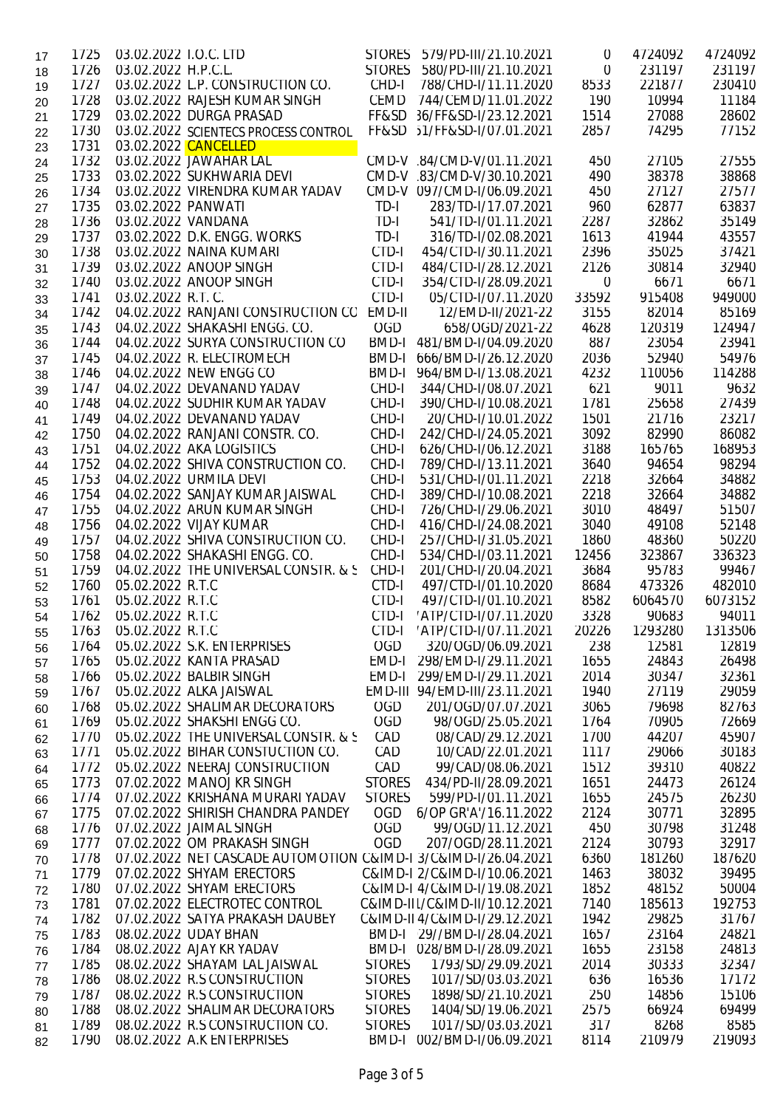| 17 | 1725 | 03.02.2022 I.O.C. LTD |                                                                |               | STORES 579/PD-III/21.10.2021  | $\boldsymbol{0}$ | 4724092 | 4724092 |
|----|------|-----------------------|----------------------------------------------------------------|---------------|-------------------------------|------------------|---------|---------|
| 18 | 1726 | 03.02.2022 H.P.C.L.   |                                                                |               | STORES 580/PD-III/21.10.2021  | $\overline{0}$   | 231197  | 231197  |
|    | 1727 |                       | 03.02.2022 L.P. CONSTRUCTION CO.                               | CHD-I         | 788/CHD-I/11.11.2020          | 8533             | 221877  | 230410  |
| 19 |      |                       | 03.02.2022 RAJESH KUMAR SINGH                                  |               | CEMD 744/CEMD/11.01.2022      | 190              | 10994   |         |
| 20 | 1728 |                       |                                                                |               |                               |                  |         | 11184   |
| 21 | 1729 |                       | 03.02.2022 DURGA PRASAD                                        |               | FF&SD 36/FF&SD-I/23.12.2021   | 1514             | 27088   | 28602   |
| 22 | 1730 |                       | 03.02.2022 SCIENTECS PROCESS CONTROL                           |               | FF&SD 51/FF&SD-I/07.01.2021   | 2857             | 74295   | 77152   |
| 23 | 1731 |                       | 03.02.2022 CANCELLED                                           |               |                               |                  |         |         |
| 24 | 1732 |                       | 03.02.2022 JAWAHAR LAL                                         |               | CMD-V 84/CMD-V/01.11.2021     | 450              | 27105   | 27555   |
| 25 | 1733 |                       | 03.02.2022 SUKHWARIA DEVI                                      |               | CMD-V 83/CMD-V/30.10.2021     | 490              | 38378   | 38868   |
| 26 | 1734 |                       | 03.02.2022 VIRENDRA KUMAR YADAV                                |               | CMD-V 097/CMD-I/06.09.2021    | 450              | 27127   | 27577   |
| 27 | 1735 | 03.02.2022 PANWATI    |                                                                | TD-I          | 283/TD-I/17.07.2021           | 960              | 62877   | 63837   |
|    | 1736 | 03.02.2022 VANDANA    |                                                                | TD-I          | 541/TD-I/01.11.2021           | 2287             | 32862   | 35149   |
| 28 |      |                       |                                                                |               |                               |                  |         |         |
| 29 | 1737 |                       | 03.02.2022 D.K. ENGG. WORKS                                    | TD-I          | 316/TD-I/02.08.2021           | 1613             | 41944   | 43557   |
| 30 | 1738 |                       | 03.02.2022 NAINA KUMARI                                        | CTD-I         | 454/CTD-I/30.11.2021          | 2396             | 35025   | 37421   |
| 31 | 1739 |                       | 03.02.2022 ANOOP SINGH                                         | CTD-I         | 484/CTD-I/28.12.2021          | 2126             | 30814   | 32940   |
| 32 | 1740 |                       | 03.02.2022 ANOOP SINGH                                         | CTD-I         | 354/CTD-I/28.09.2021          | $\overline{0}$   | 6671    | 6671    |
| 33 | 1741 | 03.02.2022 R.T. C.    |                                                                | CTD-I         | 05/CTD-I/07.11.2020           | 33592            | 915408  | 949000  |
| 34 | 1742 |                       | 04.02.2022 RANJANI CONSTRUCTION CC                             | EMD-II        | 12/EMD-II/2021-22             | 3155             | 82014   | 85169   |
| 35 | 1743 |                       | 04.02.2022 SHAKASHI ENGG. CO.                                  | <b>OGD</b>    | 658/OGD/2021-22               | 4628             | 120319  | 124947  |
|    | 1744 |                       | 04.02.2022 SURYA CONSTRUCTION CO                               |               | BMD-I 481/BMD-I/04.09.2020    | 887              | 23054   | 23941   |
| 36 |      |                       |                                                                |               |                               |                  |         |         |
| 37 | 1745 |                       | 04.02.2022 R. ELECTROMECH                                      | BMD-I         | 666/BMD-I/26.12.2020          | 2036             | 52940   | 54976   |
| 38 | 1746 |                       | 04.02.2022 NEW ENGG CO                                         | BMD-I         | 964/BMD-I/13.08.2021          | 4232             | 110056  | 114288  |
| 39 | 1747 |                       | 04.02.2022 DEVANAND YADAV                                      | CHD-I         | 344/CHD-I/08.07.2021          | 621              | 9011    | 9632    |
| 40 | 1748 |                       | 04.02.2022 SUDHIR KUMAR YADAV                                  | CHD-I         | 390/CHD-I/10.08.2021          | 1781             | 25658   | 27439   |
| 41 | 1749 |                       | 04.02.2022 DEVANAND YADAV                                      | CHD-I         | 20/CHD-I/10.01.2022           | 1501             | 21716   | 23217   |
| 42 | 1750 |                       | 04.02.2022 RANJANI CONSTR. CO.                                 | CHD-I         | 242/CHD-I/24.05.2021          | 3092             | 82990   | 86082   |
| 43 | 1751 |                       | 04.02.2022 AKA LOGISTICS                                       | CHD-I         | 626/CHD-I/06.12.2021          | 3188             | 165765  | 168953  |
|    | 1752 |                       | 04.02.2022 SHIVA CONSTRUCTION CO.                              | CHD-I         | 789/CHD-I/13.11.2021          | 3640             | 94654   | 98294   |
| 44 |      |                       |                                                                |               |                               |                  |         |         |
| 45 | 1753 |                       | 04.02.2022 URMILA DEVI                                         | CHD-I         | 531/CHD-I/01.11.2021          | 2218             | 32664   | 34882   |
| 46 | 1754 |                       | 04.02.2022 SANJAY KUMAR JAISWAL                                | CHD-I         | 389/CHD-I/10.08.2021          | 2218             | 32664   | 34882   |
| 47 | 1755 |                       | 04.02.2022 ARUN KUMAR SINGH                                    | CHD-I         | 726/CHD-I/29.06.2021          | 3010             | 48497   | 51507   |
| 48 | 1756 |                       | 04.02.2022 VIJAY KUMAR                                         | CHD-I         | 416/CHD-I/24.08.2021          | 3040             | 49108   | 52148   |
| 49 | 1757 |                       | 04.02.2022 SHIVA CONSTRUCTION CO.                              | CHD-I         | 257/CHD-I/31.05.2021          | 1860             | 48360   | 50220   |
| 50 | 1758 |                       | 04.02.2022 SHAKASHI ENGG. CO.                                  | CHD-I         | 534/CHD-I/03.11.2021          | 12456            | 323867  | 336323  |
| 51 | 1759 |                       | 04.02.2022 THE UNIVERSAL CONSTR. & S                           | CHD-I         | 201/CHD-I/20.04.2021          | 3684             | 95783   | 99467   |
| 52 | 1760 | 05.02.2022 R.T.C      |                                                                | CTD-I         | 497/CTD-I/01.10.2020          | 8684             | 473326  | 482010  |
|    | 1761 | 05.02.2022 R.T.C      |                                                                | CTD-I         | 497/CTD-I/01.10.2021          | 8582             | 6064570 | 6073152 |
| 53 |      |                       |                                                                |               |                               |                  |         |         |
| 54 | 1762 | 05.02.2022 R.T.C      |                                                                | CTD-I         | 'ATP/CTD-I/07.11.2020         | 3328             | 90683   | 94011   |
| 55 | 1763 | 05.02.2022 R.T.C      |                                                                | CTD-I         | 'ATP/CTD-I/07.11.2021         | 20226            | 1293280 | 1313506 |
| 56 | 1764 |                       | 05.02.2022 S.K. ENTERPRISES                                    | <b>OGD</b>    | 320/OGD/06.09.2021            | 238              | 12581   | 12819   |
| 57 | 1765 |                       | 05.02.2022 KANTA PRASAD                                        | EMD-I         | 298/EMD-I/29.11.2021          | 1655             | 24843   | 26498   |
| 58 | 1766 |                       | 05.02.2022 BALBIR SINGH                                        | EMD-I         | 299/EMD-I/29.11.2021          | 2014             | 30347   | 32361   |
| 59 | 1767 |                       | 05.02.2022 ALKA JAISWAL                                        |               | EMD-III 94/EMD-III/23.11.2021 | 1940             | 27119   | 29059   |
| 60 | 1768 |                       | 05.02.2022 SHALIMAR DECORATORS                                 | <b>OGD</b>    | 201/OGD/07.07.2021            | 3065             | 79698   | 82763   |
|    | 1769 |                       | 05.02.2022 SHAKSHI ENGG CO.                                    | <b>OGD</b>    | 98/OGD/25.05.2021             | 1764             | 70905   | 72669   |
| 61 | 1770 |                       | 05.02.2022 THE UNIVERSAL CONSTR. & S                           | CAD           | 08/CAD/29.12.2021             | 1700             | 44207   | 45907   |
| 62 |      |                       | 05.02.2022 BIHAR CONSTUCTION CO.                               |               |                               |                  |         |         |
| 63 | 1771 |                       |                                                                | CAD           | 10/CAD/22.01.2021             | 1117             | 29066   | 30183   |
| 64 | 1772 |                       | 05.02.2022 NEERAJ CONSTRUCTION                                 | CAD           | 99/CAD/08.06.2021             | 1512             | 39310   | 40822   |
| 65 | 1773 |                       | 07.02.2022 MANOJ KR SINGH                                      | <b>STORES</b> | 434/PD-II/28.09.2021          | 1651             | 24473   | 26124   |
| 66 | 1774 |                       | 07.02.2022 KRISHANA MURARI YADAV                               | <b>STORES</b> | 599/PD-I/01.11.2021           | 1655             | 24575   | 26230   |
| 67 | 1775 |                       | 07.02.2022 SHIRISH CHANDRA PANDEY                              | <b>OGD</b>    | 6/OP GR'A'/16.11.2022         | 2124             | 30771   | 32895   |
| 68 | 1776 |                       | 07.02.2022 JAIMAL SINGH                                        | <b>OGD</b>    | 99/OGD/11.12.2021             | 450              | 30798   | 31248   |
| 69 | 1777 |                       | 07.02.2022 OM PRAKASH SINGH                                    | <b>OGD</b>    | 207/OGD/28.11.2021            | 2124             | 30793   | 32917   |
| 70 | 1778 |                       | 07.02.2022 NET CASCADE AUTOMOTION C&IMD-I 3/C&IMD-I/26.04.2021 |               |                               | 6360             | 181260  | 187620  |
|    | 1779 |                       | 07.02.2022 SHYAM ERECTORS                                      |               | C&IMD-I 2/C&IMD-I/10.06.2021  | 1463             | 38032   | 39495   |
| 71 |      |                       |                                                                |               |                               |                  |         |         |
| 72 | 1780 |                       | 07.02.2022 SHYAM ERECTORS                                      |               | C&IMD-I 4/C&IMD-I/19.08.2021  | 1852             | 48152   | 50004   |
| 73 | 1781 |                       | 07.02.2022 ELECTROTEC CONTROL                                  |               | C&IMD-III/C&IMD-II/10.12.2021 | 7140             | 185613  | 192753  |
| 74 | 1782 |                       | 07.02.2022 SATYA PRAKASH DAUBEY                                |               | C&IMD-II 4/C&IMD-I/29.12.2021 | 1942             | 29825   | 31767   |
| 75 | 1783 |                       | 08.02.2022 UDAY BHAN                                           |               | BMD-I 29//BMD-I/28.04.2021    | 1657             | 23164   | 24821   |
| 76 | 1784 |                       | 08.02.2022 AJAY KR YADAV                                       |               | BMD-I 028/BMD-I/28.09.2021    | 1655             | 23158   | 24813   |
| 77 | 1785 |                       | 08.02.2022 SHAYAM LAL JAISWAL                                  | <b>STORES</b> | 1793/SD/29.09.2021            | 2014             | 30333   | 32347   |
| 78 | 1786 |                       | 08.02.2022 R.S CONSTRUCTION                                    | <b>STORES</b> | 1017/SD/03.03.2021            | 636              | 16536   | 17172   |
|    | 1787 |                       | 08.02.2022 R.S CONSTRUCTION                                    | <b>STORES</b> | 1898/SD/21.10.2021            | 250              | 14856   | 15106   |
| 79 |      |                       |                                                                |               |                               |                  |         | 69499   |
| 80 | 1788 |                       | 08.02.2022 SHALIMAR DECORATORS                                 | <b>STORES</b> | 1404/SD/19.06.2021            | 2575             | 66924   |         |
| 81 | 1789 |                       | 08.02.2022 R.S CONSTRUCTION CO.                                | <b>STORES</b> | 1017/SD/03.03.2021            | 317              | 8268    | 8585    |
| 82 | 1790 |                       | 08.02.2022 A.K ENTERPRISES                                     |               | BMD-I 002/BMD-I/06.09.2021    | 8114             | 210979  | 219093  |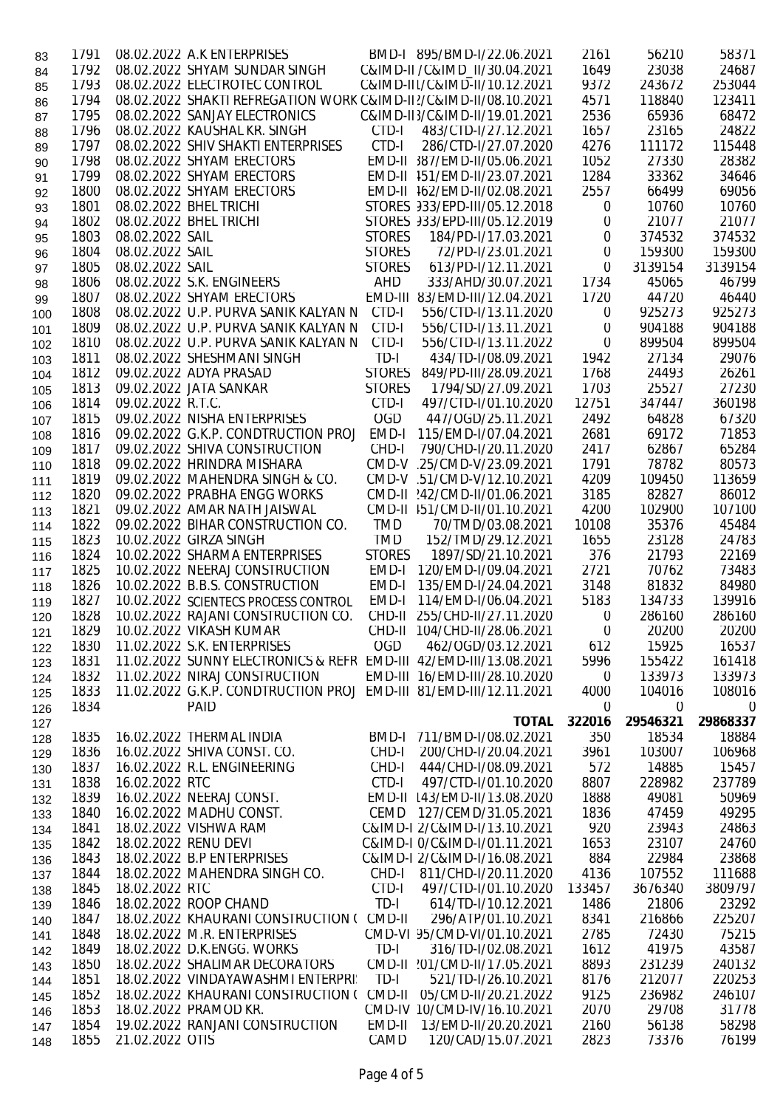| 83         | 1791 |                   | 08.02.2022 A.K ENTERPRISES                                        |               | BMD-I 895/BMD-I/22.06.2021     | 2161           | 56210          | 58371          |
|------------|------|-------------------|-------------------------------------------------------------------|---------------|--------------------------------|----------------|----------------|----------------|
| 84         | 1792 |                   | 08.02.2022 SHYAM SUNDAR SINGH                                     |               | C&IMD-II / C&IMD_II/30.04.2021 | 1649           | 23038          | 24687          |
| 85         | 1793 |                   | 08.02.2022 ELECTROTEC CONTROL                                     |               | C&IMD-III/C&IMD-II/10.12.2021  | 9372           | 243672         | 253044         |
|            | 1794 |                   | 08.02.2022 SHAKTI REFREGATION WORK C&IMD-II?/C&IMD-II/08.10.2021  |               |                                | 4571           | 118840         | 123411         |
| 86         | 1795 |                   | 08.02.2022 SANJAY ELECTRONICS                                     |               | C&IMD-II3/C&IMD-II/19.01.2021  | 2536           | 65936          | 68472          |
| 87         |      |                   |                                                                   |               |                                |                |                |                |
| 88         | 1796 |                   | 08.02.2022 KAUSHAL KR. SINGH                                      | CTD-I         | 483/CTD-I/27.12.2021           | 1657           | 23165          | 24822          |
| 89         | 1797 |                   | 08.02.2022 SHIV SHAKTI ENTERPRISES                                | CTD-I         | 286/CTD-I/27.07.2020           | 4276           | 111172         | 115448         |
| 90         | 1798 |                   | 08.02.2022 SHYAM ERECTORS                                         |               | EMD-II 387/EMD-II/05.06.2021   | 1052           | 27330          | 28382          |
| 91         | 1799 |                   | 08.02.2022 SHYAM ERECTORS                                         |               | EMD-II 151/EMD-II/23.07.2021   | 1284           | 33362          | 34646          |
| 92         | 1800 |                   | 08.02.2022 SHYAM ERECTORS                                         |               | EMD-II 162/EMD-II/02.08.2021   | 2557           | 66499          | 69056          |
| 93         | 1801 |                   | 08.02.2022 BHEL TRICHI                                            |               | STORES 933/EPD-III/05.12.2018  | 0              | 10760          | 10760          |
|            | 1802 |                   | 08.02.2022 BHEL TRICHI                                            |               | STORES 933/EPD-III/05.12.2019  | 0              | 21077          | 21077          |
| 94         | 1803 | 08.02.2022 SAIL   |                                                                   | <b>STORES</b> | 184/PD-I/17.03.2021            | 0              | 374532         | 374532         |
| 95         |      |                   |                                                                   |               |                                |                |                |                |
| 96         | 1804 | 08.02.2022 SAIL   |                                                                   | <b>STORES</b> | 72/PD-I/23.01.2021             | 0              | 159300         | 159300         |
| 97         | 1805 | 08.02.2022 SAIL   |                                                                   | <b>STORES</b> | 613/PD-I/12.11.2021            | 0              | 3139154        | 3139154        |
| 98         | 1806 |                   | 08.02.2022 S.K. ENGINEERS                                         | AHD           | 333/AHD/30.07.2021             | 1734           | 45065          | 46799          |
| 99         | 1807 |                   | 08.02.2022 SHYAM ERECTORS                                         |               | EMD-III 83/EMD-III/12.04.2021  | 1720           | 44720          | 46440          |
| 100        | 1808 |                   | 08.02.2022 U.P. PURVA SANIK KALYAN N CTD-I                        |               | 556/CTD-I/13.11.2020           | $\mathbf 0$    | 925273         | 925273         |
| 101        | 1809 |                   | 08.02.2022 U.P. PURVA SANIK KALYAN N                              | CTD-I         | 556/CTD-I/13.11.2021           | $\mathbf 0$    | 904188         | 904188         |
| 102        | 1810 |                   | 08.02.2022 U.P. PURVA SANIK KALYAN N                              | CTD-I         | 556/CTD-I/13.11.2022           | 0              | 899504         | 899504         |
|            | 1811 |                   | 08.02.2022 SHESHMANI SINGH                                        | TD-I          | 434/TD-I/08.09.2021            | 1942           | 27134          | 29076          |
| 103        |      |                   |                                                                   |               |                                |                |                |                |
| 104        | 1812 |                   | 09.02.2022 ADYA PRASAD                                            | <b>STORES</b> | 849/PD-III/28.09.2021          | 1768           | 24493          | 26261          |
| 105        | 1813 |                   | 09.02.2022 JATA SANKAR                                            | <b>STORES</b> | 1794/SD/27.09.2021             | 1703           | 25527          | 27230          |
| 106        | 1814 | 09.02.2022 R.T.C. |                                                                   | CTD-I         | 497/CTD-I/01.10.2020           | 12751          | 347447         | 360198         |
| 107        | 1815 |                   | 09.02.2022 NISHA ENTERPRISES                                      | <b>OGD</b>    | 447/OGD/25.11.2021             | 2492           | 64828          | 67320          |
| 108        | 1816 |                   | 09.02.2022 G.K.P. CONDTRUCTION PROJ                               | EMD-I         | 115/EMD-I/07.04.2021           | 2681           | 69172          | 71853          |
| 109        | 1817 |                   | 09.02.2022 SHIVA CONSTRUCTION                                     | CHD-I         | 790/CHD-I/20.11.2020           | 2417           | 62867          | 65284          |
| 110        | 1818 |                   | 09.02.2022 HRINDRA MISHARA                                        | CMD-V         | 25/CMD-V/23.09.2021            | 1791           | 78782          | 80573          |
|            | 1819 |                   | 09.02.2022 MAHENDRA SINGH & CO.                                   |               | CMD-V 51/CMD-V/12.10.2021      | 4209           | 109450         | 113659         |
| 111        |      |                   |                                                                   |               |                                |                |                |                |
| 112        | 1820 |                   | 09.02.2022 PRABHA ENGG WORKS                                      |               | CMD-II !42/CMD-II/01.06.2021   | 3185           | 82827          | 86012          |
| 113        | 1821 |                   | 09.02.2022 AMAR NATH JAISWAL                                      |               | CMD-II 151/CMD-II/01.10.2021   | 4200           | 102900         | 107100         |
| 114        | 1822 |                   | 09.02.2022 BIHAR CONSTRUCTION CO.                                 | <b>TMD</b>    | 70/TMD/03.08.2021              | 10108          | 35376          | 45484          |
| 115        | 1823 |                   | 10.02.2022 GIRZA SINGH                                            | <b>TMD</b>    | 152/TMD/29.12.2021             | 1655           | 23128          | 24783          |
| 116        | 1824 |                   | 10.02.2022 SHARMA ENTERPRISES                                     | <b>STORES</b> | 1897/SD/21.10.2021             | 376            | 21793          | 22169          |
| 117        | 1825 |                   | 10.02.2022 NEERAJ CONSTRUCTION                                    | EMD-I         | 120/EMD-I/09.04.2021           | 2721           | 70762          | 73483          |
| 118        | 1826 |                   | 10.02.2022 B.B.S. CONSTRUCTION                                    | EMD-I         | 135/EMD-I/24.04.2021           | 3148           | 81832          | 84980          |
|            | 1827 |                   | 10.02.2022 SCIENTECS PROCESS CONTROL                              | EMD-I         | 114/EMD-I/06.04.2021           | 5183           | 134733         | 139916         |
| 119        | 1828 |                   | 10.02.2022 RAJANI CONSTRUCTION CO.                                | CHD-II        | 255/CHD-II/27.11.2020          |                | 286160         | 286160         |
| 120        |      |                   |                                                                   |               |                                | 0              |                |                |
| 121        | 1829 |                   | 10.02.2022 VIKASH KUMAR                                           |               | CHD-II 104/CHD-II/28.06.2021   | 0              | 20200          | 20200          |
| 122        | 1830 |                   | 11.02.2022 S.K. ENTERPRISES                                       | <b>OGD</b>    | 462/OGD/03.12.2021             | 612            | 15925          | 16537          |
| 123        | 1831 |                   | 11.02.2022 SUNNY ELECTRONICS & REFR EMD-III 42/EMD-III/13.08.2021 |               |                                | 5996           | 155422         | 161418         |
| 124        | 1832 |                   | 11.02.2022 NIRAJ CONSTRUCTION                                     |               | EMD-III 16/EMD-III/28.10.2020  | $\overline{0}$ | 133973         | 133973         |
| 125        | 1833 |                   | 11.02.2022 G.K.P. CONDTRUCTION PROJ EMD-III 81/EMD-III/12.11.2021 |               |                                | 4000           | 104016         | 108016         |
| 126        | 1834 |                   | PAID                                                              |               |                                | 0              | $\overline{0}$ | $\overline{0}$ |
| 127        |      |                   |                                                                   |               | <b>TOTAL</b>                   | 322016         | 29546321       | 29868337       |
| 128        | 1835 |                   | 16.02.2022 THERMAL INDIA                                          |               | BMD-I 711/BMD-I/08.02.2021     | 350            | 18534          | 18884          |
|            | 1836 |                   | 16.02.2022 SHIVA CONST. CO.                                       | CHD-I         | 200/CHD-I/20.04.2021           | 3961           | 103007         | 106968         |
| 129        | 1837 |                   | 16.02.2022 R.L. ENGINEERING                                       | CHD-I         | 444/CHD-I/08.09.2021           | 572            | 14885          | 15457          |
| 130        |      |                   |                                                                   |               |                                |                |                |                |
| 131        | 1838 | 16.02.2022 RTC    |                                                                   | CTD-I         | 497/CTD-I/01.10.2020           | 8807           | 228982         | 237789         |
| 132        | 1839 |                   | 16.02.2022 NEERAJ CONST.                                          |               | EMD-II 143/EMD-II/13.08.2020   | 1888           | 49081          | 50969          |
| 133        | 1840 |                   | 16.02.2022 MADHU CONST.                                           |               | CEMD 127/CEMD/31.05.2021       | 1836           | 47459          | 49295          |
| 134        | 1841 |                   | 18.02.2022 VISHWA RAM                                             |               | C&IMD-I 2/C&IMD-I/13.10.2021   | 920            | 23943          | 24863          |
| 135        | 1842 |                   | 18.02.2022 RENU DEVI                                              |               | C&IMD-I 0/C&IMD-I/01.11.2021   | 1653           | 23107          | 24760          |
| 136        | 1843 |                   | 18.02.2022 B.P ENTERPRISES                                        |               | C&IMD-I 2/C&IMD-I/16.08.2021   | 884            | 22984          | 23868          |
| 137        | 1844 |                   | 18.02.2022 MAHENDRA SINGH CO.                                     | CHD-I         | 811/CHD-I/20.11.2020           | 4136           | 107552         | 111688         |
|            | 1845 | 18.02.2022 RTC    |                                                                   | CTD-I         | 497/CTD-I/01.10.2020           | 133457         | 3676340        | 3809797        |
| 138        |      |                   |                                                                   | TD-I          |                                |                | 21806          | 23292          |
| 139        | 1846 |                   | 18.02.2022 ROOP CHAND                                             |               | 614/TD-I/10.12.2021            | 1486           |                |                |
| 140        | 1847 |                   | 18.02.2022 KHAURANI CONSTRUCTION (CMD-II                          |               | 296/ATP/01.10.2021             | 8341           | 216866         | 225207         |
| 141        | 1848 |                   | 18.02.2022 M.R. ENTERPRISES                                       |               | CMD-VI 95/CMD-VI/01.10.2021    | 2785           | 72430          | 75215          |
| 142        | 1849 |                   | 18.02.2022 D.K.ENGG. WORKS                                        | TD-I          | 316/TD-I/02.08.2021            | 1612           | 41975          | 43587          |
| 143        | 1850 |                   | 18.02.2022 SHALIMAR DECORATORS                                    |               | CMD-II '01/CMD-II/17.05.2021   | 8893           | 231239         | 240132         |
| 144        | 1851 |                   | 18.02.2022 VINDAYAWASHMI ENTERPRI:                                | TD-I          | 521/TD-I/26.10.2021            | 8176           | 212077         | 220253         |
| 145        | 1852 |                   | 18.02.2022 KHAURANI CONSTRUCTION (CMD-II 05/CMD-II/20.21.2022     |               |                                | 9125           | 236982         | 246107         |
| 146        | 1853 |                   | 18.02.2022 PRAMOD KR.                                             |               | CMD-IV 10/CMD-IV/16.10.2021    | 2070           | 29708          | 31778          |
|            | 1854 |                   | 19.02.2022 RANJANI CONSTRUCTION                                   | EMD-II        | 13/EMD-II/20.20.2021           | 2160           | 56138          | 58298          |
| 147<br>148 | 1855 | 21.02.2022 OTIS   |                                                                   | CAMD          | 120/CAD/15.07.2021             | 2823           | 73376          | 76199          |
|            |      |                   |                                                                   |               |                                |                |                |                |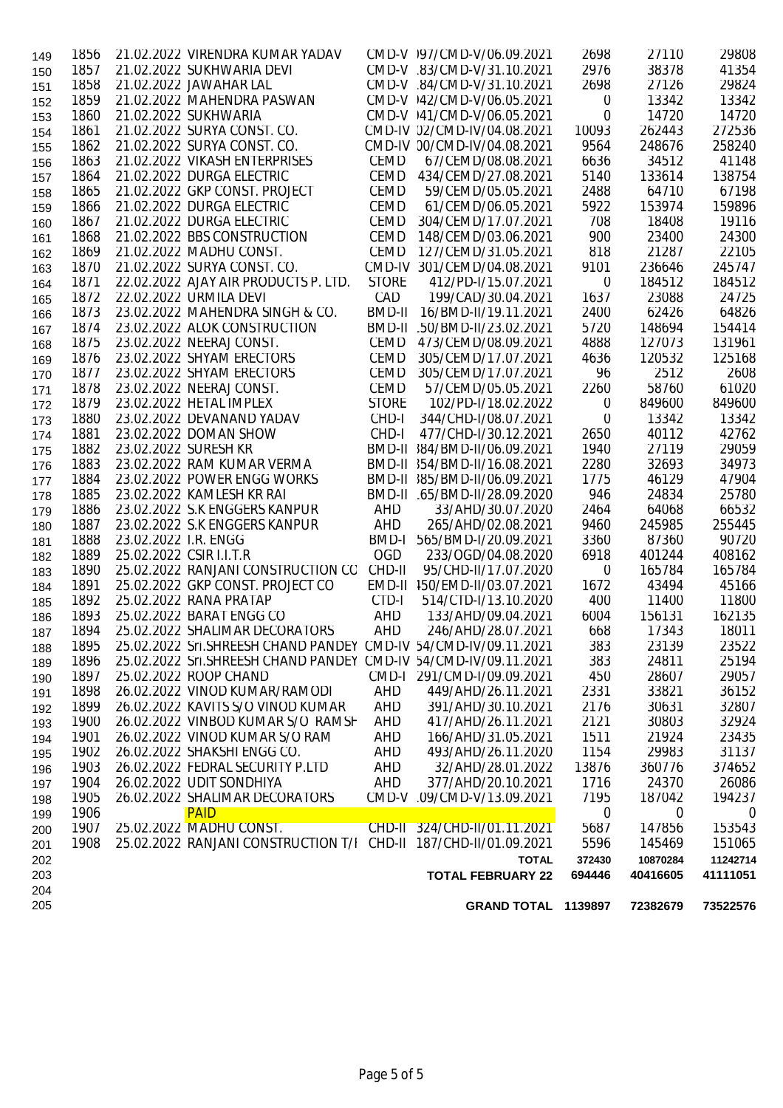| 204<br>205 |              |                      |                                                                    |              | GRAND TOTAL 1139897                      |                  | 72382679       | 73522576        |
|------------|--------------|----------------------|--------------------------------------------------------------------|--------------|------------------------------------------|------------------|----------------|-----------------|
| 203        |              |                      |                                                                    |              | <b>TOTAL FEBRUARY 22</b>                 | 694446           | 40416605       | 41111051        |
| 202        |              |                      |                                                                    |              | <b>TOTAL</b>                             | 372430           | 10870284       | 11242714        |
| 201        | 1908         |                      | 25.02.2022 RANJANI CONSTRUCTION T/I CHD-II 187/CHD-II/01.09.2021   |              |                                          | 5596             | 145469         | 151065          |
| 200        | 1907         |                      | 25.02.2022 MADHU CONST.                                            |              | CHD-II 324/CHD-II/01.11.2021             | 5687             | 147856         | 153543          |
| 198<br>199 | 1906         |                      | <b>PAID</b>                                                        |              |                                          | $\overline{0}$   | $\overline{0}$ | $\overline{0}$  |
| 197        | 1905         |                      | 26.02.2022 SHALIMAR DECORATORS                                     | CMD-V        | 09/CMD-V/13.09.2021                      | 7195             | 187042         | 194237          |
| 196        | 1904         |                      | 26.02.2022 UDIT SONDHIYA                                           | AHD          | 377/AHD/20.10.2021                       | 1716             | 24370          | 26086           |
| 195        | 1902<br>1903 |                      | 26.02.2022 SHAKSHI ENGG CO.<br>26.02.2022 FEDRAL SECURITY P.LTD    | AHD<br>AHD   | 32/AHD/28.01.2022                        | 1154<br>13876    | 360776         | 31137<br>374652 |
| 194        | 1901         |                      | 26.02.2022 VINOD KUMAR S/O RAM                                     | AHD          | 166/AHD/31.05.2021<br>493/AHD/26.11.2020 |                  | 21924<br>29983 |                 |
| 193        | 1900         |                      | 26.02.2022 VINBOD KUMAR S/O RAMSH                                  | AHD          | 417/AHD/26.11.2021                       | 1511             |                | 23435           |
| 192        | 1899         |                      |                                                                    |              |                                          | 2121             | 30631<br>30803 | 32807<br>32924  |
| 191        | 1898         |                      | 26.02.2022 VINOD KUMAR/RAMODI<br>26.02.2022 KAVITS S/O VINOD KUMAR | AHD<br>AHD   | 449/AHD/26.11.2021<br>391/AHD/30.10.2021 | 2331<br>2176     | 33821          | 36152           |
| 190        | 1897         |                      | 25.02.2022 ROOP CHAND                                              |              | CMD-I 291/CMD-I/09.09.2021               | 450              | 28607          | 29057           |
| 189        | 1896         |                      | 25.02.2022 Sri.SHREESH CHAND PANDEY CMD-IV 54/CMD-IV/09.11.2021    |              |                                          | 383              | 24811          | 25194           |
| 188        | 1895         |                      | 25.02.2022 Sri.SHREESH CHAND PANDEY CMD-IV 54/CMD-IV/09.11.2021    |              |                                          | 383              | 23139          | 23522           |
| 187        | 1894         |                      | 25.02.2022 SHALIMAR DECORATORS                                     | AHD          | 246/AHD/28.07.2021                       | 668              | 17343          | 18011           |
| 186        | 1893         |                      | 25.02.2022 BARAT ENGG CO                                           | AHD          | 133/AHD/09.04.2021                       | 6004             | 156131         | 162135          |
| 185        | 1892         |                      | 25.02.2022 RANA PRATAP                                             | CTD-I        | 514/CTD-I/13.10.2020                     | 400              | 11400          | 11800           |
| 184        | 1891         |                      | 25.02.2022 GKP CONST. PROJECT CO                                   | EMD-II       | 150/EMD-II/03.07.2021                    | 1672             | 43494          | 45166           |
| 183        | 1890         |                      | 25.02.2022 RANJANI CONSTRUCTION CC                                 | CHD-II       | 95/CHD-II/17.07.2020                     | $\boldsymbol{0}$ | 165784         | 165784          |
| 182        | 1889         |                      | 25.02.2022 CSIR I.I.T.R                                            | <b>OGD</b>   | 233/OGD/04.08.2020                       | 6918             | 401244         | 408162          |
| 181        | 1888         | 23.02.2022 I.R. ENGG |                                                                    | BMD-I        | 565/BMD-I/20.09.2021                     | 3360             | 87360          | 90720           |
| 180        | 1887         |                      | 23.02.2022 S.K ENGGERS KANPUR                                      | AHD          | 265/AHD/02.08.2021                       | 9460             | 245985         | 255445          |
| 179        | 1886         |                      | 23.02.2022 S.K ENGGERS KANPUR                                      | AHD          | 33/AHD/30.07.2020                        | 2464             | 64068          | 66532           |
| 178        | 1885         |                      | 23.02.2022 KAMLESH KR RAI                                          | BMD-II       | 65/BMD-II/28.09.2020                     | 946              | 24834          | 25780           |
| 177        | 1884         |                      | 23.02.2022 POWER ENGG WORKS                                        |              | BMD-II 385/BMD-II/06.09.2021             | 1775             | 46129          | 47904           |
| 176        | 1883         |                      | 23.02.2022 RAM KUMAR VERMA                                         |              | BMD-II 354/BMD-II/16.08.2021             | 2280             | 32693          | 34973           |
| 175        | 1882         |                      | 23.02.2022 SURESH KR                                               |              | BMD-II 384/BMD-II/06.09.2021             | 1940             | 27119          | 29059           |
| 174        | 1881         |                      | 23.02.2022 DOMAN SHOW                                              | CHD-I        | 477/CHD-I/30.12.2021                     | 2650             | 40112          | 42762           |
| 173        | 1880         |                      | 23.02.2022 DEVANAND YADAV                                          | CHD-I        | 344/CHD-I/08.07.2021                     | $\mathbf 0$      | 13342          | 13342           |
| 172        | 1879         |                      | 23.02.2022 HETAL IMPLEX                                            | <b>STORE</b> | 102/PD-I/18.02.2022                      | $\boldsymbol{0}$ | 849600         | 849600          |
| 171        | 1878         |                      | 23.02.2022 NEERAJ CONST.                                           | CEMD         | 57/CEMD/05.05.2021                       | 2260             | 58760          | 61020           |
| 170        | 1877         |                      | 23.02.2022 SHYAM ERECTORS                                          | CEMD         | 305/CEMD/17.07.2021                      | 96               | 2512           | 2608            |
| 169        | 1876         |                      | 23.02.2022 SHYAM ERECTORS                                          | CEMD         | 305/CEMD/17.07.2021                      | 4636             | 120532         | 125168          |
| 168        | 1875         |                      | 23.02.2022 NEERAJ CONST.                                           | CEMD         | 473/CEMD/08.09.2021                      | 4888             | 127073         | 131961          |
| 167        | 1874         |                      | 23.02.2022 ALOK CONSTRUCTION                                       | BMD-II       | 50/BMD-II/23.02.2021                     | 5720             | 148694         | 154414          |
| 166        | 1873         |                      | 23.02.2022 MAHENDRA SINGH & CO.                                    | BMD-II       | 16/BMD-II/19.11.2021                     | 2400             | 62426          | 64826           |
| 165        | 1872         |                      | 22.02.2022 URMILA DEVI                                             | CAD          | 199/CAD/30.04.2021                       | 1637             | 23088          | 24725           |
| 164        | 1871         |                      | 22.02.2022 AJAY AIR PRODUCTS P. LTD.                               | <b>STORE</b> | 412/PD-I/15.07.2021                      | $\boldsymbol{0}$ | 184512         | 184512          |
| 163        | 1870         |                      | 21.02.2022 SURYA CONST. CO.                                        |              | CMD-IV 301/CEMD/04.08.2021               | 9101             | 236646         | 245747          |
| 162        | 1869         |                      | 21.02.2022 MADHU CONST.                                            | CEMD         | 127/CEMD/31.05.2021                      | 818              | 21287          | 22105           |
| 161        | 1868         |                      | 21.02.2022 BBS CONSTRUCTION                                        | CEMD         | 148/CEMD/03.06.2021                      | 900              | 23400          | 24300           |
| 160        | 1867         |                      | 21.02.2022 DURGA ELECTRIC                                          | CEMD         | 304/CEMD/17.07.2021                      | 708              | 18408          | 19116           |
| 159        | 1866         |                      | 21.02.2022 DURGA ELECTRIC                                          | CEMD         | 61/CEMD/06.05.2021                       | 5922             | 153974         | 159896          |
| 158        | 1865         |                      | 21.02.2022 GKP CONST. PROJECT                                      | CEMD         | 59/CEMD/05.05.2021                       | 2488             | 64710          | 67198           |
| 157        | 1864         |                      | 21.02.2022 DURGA ELECTRIC                                          | CEMD         | 434/CEMD/27.08.2021                      | 5140             | 133614         | 138754          |
| 156        | 1863         |                      | 21.02.2022 VIKASH ENTERPRISES                                      | CEMD         | 67/CEMD/08.08.2021                       | 6636             | 34512          | 41148           |
| 155        | 1862         |                      | 21.02.2022 SURYA CONST. CO.                                        |              | CMD-IV 00/CMD-IV/04.08.2021              | 9564             | 248676         | 258240          |
| 154        | 1861         |                      | 21.02.2022 SURYA CONST. CO.                                        |              | CMD-IV 02/CMD-IV/04.08.2021              | 10093            | 262443         | 272536          |
| 153        | 1860         |                      | 21.02.2022 SUKHWARIA                                               |              | CMD-V '41/CMD-V/06.05.2021               | $\overline{0}$   | 14720          | 14720           |
| 152        | 1859         |                      | 21.02.2022 MAHENDRA PASWAN                                         |              | CMD-V '42/CMD-V/06.05.2021               | $\boldsymbol{0}$ | 13342          | 13342           |
| 151        | 1858         |                      | 21.02.2022 JAWAHAR LAL                                             |              | CMD-V 84/CMD-V/31.10.2021                | 2698             | 27126          | 29824           |
| 150        | 1857         |                      | 21.02.2022 SUKHWARIA DEVI                                          |              | CMD-V 83/CMD-V/31.10.2021                | 2976             | 38378          | 41354           |
| 149        | 1856         |                      | 21.02.2022 VIRENDRA KUMAR YADAV                                    |              | CMD-V 197/CMD-V/06.09.2021               | 2698             | 27110          | 29808           |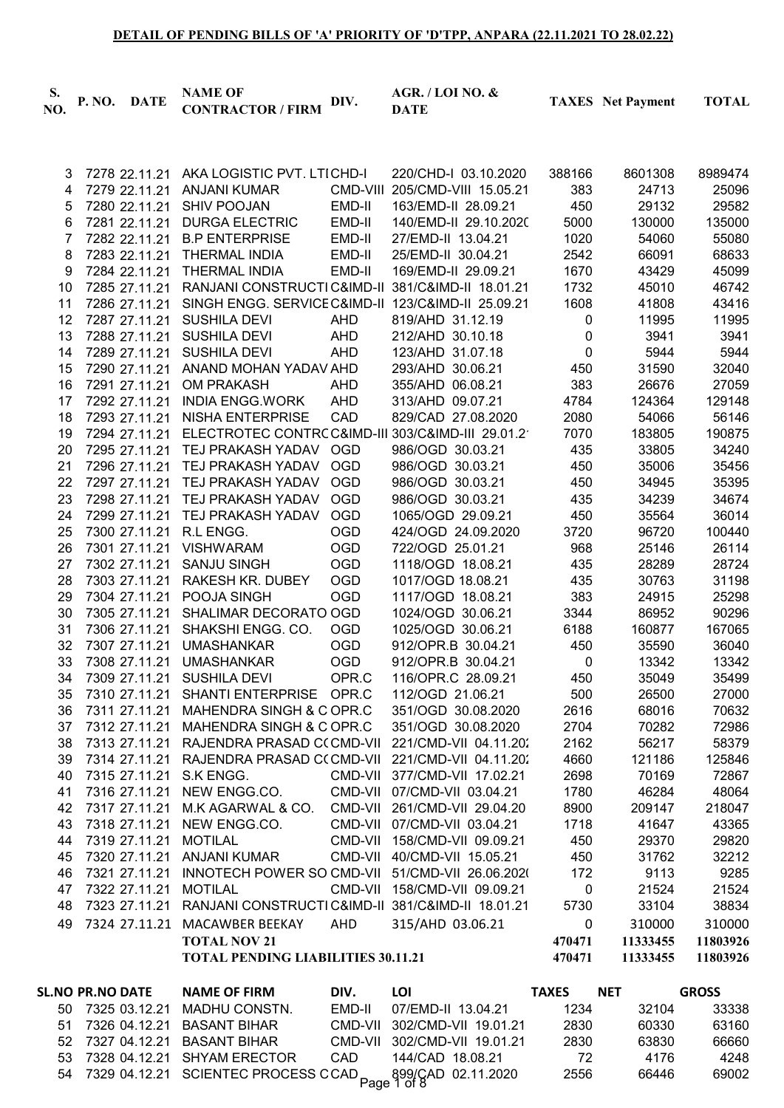| S.<br>NO. | <b>P. NO.</b>           | <b>DATE</b>                    | <b>NAME OF</b><br><b>CONTRACTOR / FIRM</b>                    | DIV.                     | AGR. / LOI NO. &<br><b>DATE</b>        |              | <b>TAXES</b> Net Payment | <b>TOTAL</b>   |
|-----------|-------------------------|--------------------------------|---------------------------------------------------------------|--------------------------|----------------------------------------|--------------|--------------------------|----------------|
|           |                         |                                |                                                               |                          |                                        |              |                          |                |
| 3         |                         | 7278 22.11.21                  | AKA LOGISTIC PVT. LTICHD-I                                    |                          | 220/CHD-I 03.10.2020                   | 388166       | 8601308                  | 8989474        |
| 4         |                         | 7279 22.11.21                  | <b>ANJANI KUMAR</b>                                           | CMD-VIII                 | 205/CMD-VIII 15.05.21                  | 383          | 24713                    | 25096          |
| 5         |                         | 7280 22.11.21                  | <b>SHIV POOJAN</b>                                            | EMD-II                   | 163/EMD-II 28.09.21                    | 450          | 29132                    | 29582          |
| 6         |                         | 7281 22.11.21                  | <b>DURGA ELECTRIC</b>                                         | EMD-II                   | 140/EMD-II 29.10.2020                  | 5000         | 130000                   | 135000         |
| 7         |                         | 7282 22.11.21                  | <b>B.P ENTERPRISE</b>                                         | EMD-II                   | 27/EMD-II 13.04.21                     | 1020         | 54060                    | 55080          |
| 8         |                         | 7283 22.11.21                  | <b>THERMAL INDIA</b>                                          | EMD-II                   | 25/EMD-II 30.04.21                     | 2542         | 66091                    | 68633          |
| 9         |                         | 7284 22.11.21                  | <b>THERMAL INDIA</b>                                          | EMD-II                   | 169/EMD-II 29.09.21                    | 1670         | 43429                    | 45099          |
| 10        |                         | 7285 27.11.21                  | RANJANI CONSTRUCTI C&IMD-II                                   |                          | 381/C&IMD-II 18.01.21                  | 1732         | 45010                    | 46742          |
| 11        |                         | 7286 27.11.21                  | SINGH ENGG. SERVICE C&IMD-II 123/C&IMD-II 25.09.21            |                          |                                        | 1608         | 41808                    | 43416          |
| 12        |                         | 7287 27.11.21                  | <b>SUSHILA DEVI</b>                                           | AHD                      | 819/AHD 31.12.19                       | 0            | 11995                    | 11995          |
| 13        |                         | 7288 27.11.21                  | <b>SUSHILA DEVI</b>                                           | <b>AHD</b>               | 212/AHD 30.10.18                       | 0            | 3941                     | 3941           |
| 14        |                         | 7289 27.11.21                  | <b>SUSHILA DEVI</b>                                           | <b>AHD</b>               | 123/AHD 31.07.18                       | 0            | 5944                     | 5944           |
| 15        |                         | 7290 27.11.21                  | ANAND MOHAN YADAV AHD                                         |                          | 293/AHD 30.06.21                       | 450          | 31590                    | 32040          |
| 16        |                         | 7291 27.11.21                  | <b>OM PRAKASH</b>                                             | <b>AHD</b>               | 355/AHD 06.08.21                       | 383          | 26676                    | 27059          |
| 17        |                         | 7292 27.11.21                  | <b>INDIA ENGG.WORK</b>                                        | <b>AHD</b>               | 313/AHD 09.07.21                       | 4784         | 124364                   | 129148         |
| 18        |                         | 7293 27.11.21                  | <b>NISHA ENTERPRISE</b>                                       | CAD                      | 829/CAD 27.08.2020                     | 2080         | 54066                    | 56146          |
| 19        |                         | 7294 27.11.21                  | ELECTROTEC CONTRC C&IMD-III                                   |                          | 303/C&IMD-III 29.01.2                  | 7070         | 183805                   | 190875         |
| 20        |                         | 7295 27.11.21                  | TEJ PRAKASH YADAV                                             | <b>OGD</b>               | 986/OGD 30.03.21                       | 435          | 33805                    | 34240          |
| 21        |                         | 7296 27.11.21                  | TEJ PRAKASH YADAV                                             | <b>OGD</b>               | 986/OGD 30.03.21                       | 450          | 35006                    | 35456          |
| 22        |                         | 7297 27.11.21                  | TEJ PRAKASH YADAV                                             | <b>OGD</b>               | 986/OGD 30.03.21                       | 450          | 34945                    | 35395          |
| 23        |                         | 7298 27.11.21                  | TEJ PRAKASH YADAV                                             | <b>OGD</b>               | 986/OGD 30.03.21                       | 435          | 34239                    | 34674          |
| 24        |                         | 7299 27.11.21                  | TEJ PRAKASH YADAV                                             | <b>OGD</b>               | 1065/OGD 29.09.21                      | 450          | 35564                    | 36014          |
| 25        |                         | 7300 27.11.21                  | R.L ENGG.<br><b>VISHWARAM</b>                                 | <b>OGD</b><br><b>OGD</b> | 424/OGD 24.09.2020                     | 3720         | 96720                    | 100440         |
| 26        |                         | 7301 27.11.21                  |                                                               | <b>OGD</b>               | 722/OGD 25.01.21                       | 968          | 25146                    | 26114          |
| 27<br>28  |                         | 7302 27.11.21                  | <b>SANJU SINGH</b><br><b>RAKESH KR. DUBEY</b>                 | <b>OGD</b>               | 1118/OGD 18.08.21<br>1017/OGD 18.08.21 | 435          | 28289                    | 28724          |
| 29        |                         | 7303 27.11.21<br>7304 27.11.21 | POOJA SINGH                                                   | <b>OGD</b>               | 1117/OGD 18.08.21                      | 435<br>383   | 30763<br>24915           | 31198<br>25298 |
| 30        |                         | 7305 27.11.21                  | SHALIMAR DECORATO OGD                                         |                          | 1024/OGD 30.06.21                      | 3344         | 86952                    | 90296          |
| 31        |                         | 7306 27.11.21                  | SHAKSHI ENGG. CO.                                             | <b>OGD</b>               | 1025/OGD 30.06.21                      | 6188         | 160877                   | 167065         |
| 32        |                         | 7307 27.11.21                  | <b>UMASHANKAR</b>                                             | <b>OGD</b>               | 912/OPR.B 30.04.21                     | 450          | 35590                    | 36040          |
| 33        |                         | 7308 27.11.21                  | <b>UMASHANKAR</b>                                             | <b>OGD</b>               | 912/OPR.B 30.04.21                     | 0            | 13342                    | 13342          |
| 34        |                         | 7309 27.11.21                  | <b>SUSHILA DEVI</b>                                           | OPR.C                    | 116/OPR.C 28.09.21                     | 450          | 35049                    | 35499          |
| 35        |                         | 7310 27.11.21                  | SHANTI ENTERPRISE OPR.C                                       |                          | 112/OGD 21.06.21                       | 500          | 26500                    | 27000          |
| 36        |                         | 7311 27.11.21                  | MAHENDRA SINGH & C OPR.C                                      |                          | 351/OGD 30.08.2020                     | 2616         | 68016                    | 70632          |
| 37        |                         |                                | 7312 27.11.21 MAHENDRA SINGH & C OPR.C                        |                          | 351/OGD 30.08.2020                     | 2704         | 70282                    | 72986          |
| 38        |                         |                                | 7313 27.11.21 RAJENDRA PRASAD C(CMD-VII 221/CMD-VII 04.11.20) |                          |                                        | 2162         | 56217                    | 58379          |
| 39        |                         |                                | 7314 27.11.21 RAJENDRA PRASAD C(CMD-VII 221/CMD-VII 04.11.20) |                          |                                        | 4660         | 121186                   | 125846         |
| 40        |                         | 7315 27.11.21                  | S.K ENGG.                                                     |                          | CMD-VII 377/CMD-VII 17.02.21           | 2698         | 70169                    | 72867          |
| 41        |                         |                                | 7316 27.11.21 NEW ENGG.CO.                                    |                          | CMD-VII 07/CMD-VII 03.04.21            | 1780         | 46284                    | 48064          |
| 42        |                         |                                | 7317 27.11.21 M.K AGARWAL & CO.                               |                          | CMD-VII 261/CMD-VII 29.04.20           | 8900         | 209147                   | 218047         |
| 43        |                         |                                | 7318 27.11.21 NEW ENGG.CO.                                    |                          | CMD-VII 07/CMD-VII 03.04.21            | 1718         | 41647                    | 43365          |
| 44        |                         |                                | 7319 27.11.21 MOTILAL                                         |                          | CMD-VII 158/CMD-VII 09.09.21           | 450          | 29370                    | 29820          |
| 45        |                         |                                | 7320 27.11.21 ANJANI KUMAR                                    |                          | CMD-VII 40/CMD-VII 15.05.21            | 450          | 31762                    | 32212          |
| 46        |                         |                                | 7321 27.11.21 INNOTECH POWER SO CMD-VII 51/CMD-VII 26.06.2020 |                          |                                        | 172          | 9113                     | 9285           |
| 47        |                         | 7322 27.11.21                  | <b>MOTILAL</b>                                                |                          | CMD-VII 158/CMD-VII 09.09.21           | $\mathbf 0$  | 21524                    | 21524          |
| 48        |                         | 7323 27.11.21                  | RANJANI CONSTRUCTI C&IMD-II 381/C&IMD-II 18.01.21             |                          |                                        | 5730         | 33104                    | 38834          |
| 49        |                         |                                | 7324 27.11.21 MACAWBER BEEKAY                                 | AHD                      | 315/AHD 03.06.21                       | 0            | 310000                   | 310000         |
|           |                         |                                | <b>TOTAL NOV 21</b>                                           |                          |                                        | 470471       | 11333455                 | 11803926       |
|           |                         |                                | <b>TOTAL PENDING LIABILITIES 30.11.21</b>                     |                          |                                        | 470471       | 11333455                 | 11803926       |
|           | <b>SL.NO PR.NO DATE</b> |                                | <b>NAME OF FIRM</b>                                           | DIV.                     | LOI                                    | <b>TAXES</b> | <b>NET</b>               | <b>GROSS</b>   |
| 50        |                         | 7325 03.12.21                  | MADHU CONSTN.                                                 | EMD-II                   | 07/EMD-II 13.04.21                     | 1234         | 32104                    | 33338          |
| 51        |                         | 7326 04.12.21                  | <b>BASANT BIHAR</b>                                           | CMD-VII                  | 302/CMD-VII 19.01.21                   | 2830         | 60330                    | 63160          |
| 52        |                         | 7327 04.12.21                  | <b>BASANT BIHAR</b>                                           | CMD-VII                  | 302/CMD-VII 19.01.21                   | 2830         | 63830                    | 66660          |
| 53        |                         | 7328 04.12.21                  | <b>SHYAM ERECTOR</b>                                          | CAD                      | 144/CAD 18.08.21                       | 72           | 4176                     | 4248           |
| 54        |                         | 7329 04.12.21                  | SCIENTEC PROCESS CCAD Page 999/CAD 02.11.2020                 |                          |                                        | 2556         | 66446                    | 69002          |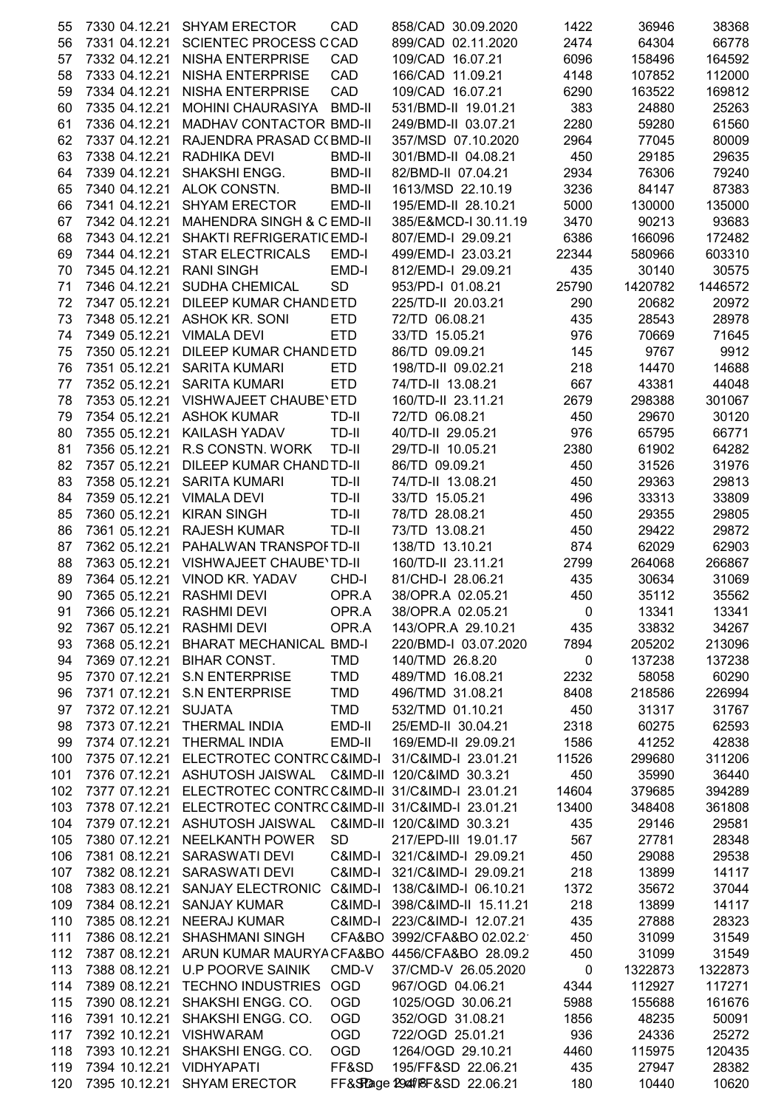| 55  | 7330 04.12.21 | <b>SHYAM ERECTOR</b>                          | CAD           | 858/CAD 30.09.2020            | 1422  | 36946   | 38368   |
|-----|---------------|-----------------------------------------------|---------------|-------------------------------|-------|---------|---------|
| 56  | 7331 04.12.21 | <b>SCIENTEC PROCESS CCAD</b>                  |               | 899/CAD 02.11.2020            | 2474  | 64304   | 66778   |
| 57  | 7332 04.12.21 | <b>NISHA ENTERPRISE</b>                       | CAD           | 109/CAD 16.07.21              | 6096  | 158496  | 164592  |
| 58  | 7333 04.12.21 | <b>NISHA ENTERPRISE</b>                       | CAD           | 166/CAD 11.09.21              | 4148  | 107852  | 112000  |
| 59  | 7334 04.12.21 | <b>NISHA ENTERPRISE</b>                       | CAD           | 109/CAD 16.07.21              | 6290  | 163522  | 169812  |
| 60  |               | <b>MOHINI CHAURASIYA</b>                      | <b>BMD-II</b> | 531/BMD-II 19.01.21           | 383   | 24880   | 25263   |
|     | 7335 04.12.21 |                                               |               |                               |       |         |         |
| 61  | 7336 04.12.21 | MADHAV CONTACTOR BMD-II                       |               | 249/BMD-II 03.07.21           | 2280  | 59280   | 61560   |
| 62  | 7337 04.12.21 | RAJENDRA PRASAD C(BMD-II                      |               | 357/MSD 07.10.2020            | 2964  | 77045   | 80009   |
| 63  | 7338 04.12.21 | RADHIKA DEVI                                  | <b>BMD-II</b> | 301/BMD-II 04.08.21           | 450   | 29185   | 29635   |
| 64  | 7339 04.12.21 | <b>SHAKSHI ENGG.</b>                          | <b>BMD-II</b> | 82/BMD-II 07.04.21            | 2934  | 76306   | 79240   |
| 65  | 7340 04.12.21 | ALOK CONSTN.                                  | <b>BMD-II</b> | 1613/MSD 22.10.19             | 3236  | 84147   | 87383   |
| 66  | 7341 04.12.21 | <b>SHYAM ERECTOR</b>                          | EMD-II        | 195/EMD-II 28.10.21           | 5000  | 130000  | 135000  |
| 67  | 7342 04.12.21 | <b>MAHENDRA SINGH &amp; C EMD-II</b>          |               | 385/E&MCD-I 30.11.19          | 3470  | 90213   | 93683   |
|     |               |                                               |               |                               |       |         |         |
| 68  | 7343 04.12.21 | SHAKTI REFRIGERATIC EMD-I                     |               | 807/EMD-I 29.09.21            | 6386  | 166096  | 172482  |
| 69  | 7344 04.12.21 | <b>STAR ELECTRICALS</b>                       | EMD-I         | 499/EMD-I 23.03.21            | 22344 | 580966  | 603310  |
| 70  | 7345 04.12.21 | <b>RANI SINGH</b>                             | EMD-I         | 812/EMD-I 29.09.21            | 435   | 30140   | 30575   |
| 71  | 7346 04.12.21 | <b>SUDHA CHEMICAL</b>                         | <b>SD</b>     | 953/PD-I 01.08.21             | 25790 | 1420782 | 1446572 |
| 72  | 7347 05.12.21 | DILEEP KUMAR CHAND ETD                        |               | 225/TD-II 20.03.21            | 290   | 20682   | 20972   |
| 73  | 7348 05.12.21 | <b>ASHOK KR. SONI</b>                         | <b>ETD</b>    | 72/TD 06.08.21                | 435   | 28543   | 28978   |
| 74  | 7349 05.12.21 | <b>VIMALA DEVI</b>                            | <b>ETD</b>    | 33/TD 15.05.21                | 976   | 70669   | 71645   |
|     |               |                                               |               |                               |       |         |         |
| 75  | 7350 05.12.21 | DILEEP KUMAR CHANDETD                         |               | 86/TD 09.09.21                | 145   | 9767    | 9912    |
| 76  | 7351 05.12.21 | <b>SARITA KUMARI</b>                          | ETD           | 198/TD-II 09.02.21            | 218   | 14470   | 14688   |
| 77  | 7352 05.12.21 | <b>SARITA KUMARI</b>                          | ETD           | 74/TD-II 13.08.21             | 667   | 43381   | 44048   |
| 78  | 7353 05.12.21 | VISHWAJEET CHAUBE' ETD                        |               | 160/TD-II 23.11.21            | 2679  | 298388  | 301067  |
| 79  | 7354 05.12.21 | <b>ASHOK KUMAR</b>                            | TD-II         | 72/TD 06.08.21                | 450   | 29670   | 30120   |
| 80  | 7355 05.12.21 | KAILASH YADAV                                 | TD-II         | 40/TD-II 29.05.21             | 976   | 65795   | 66771   |
| 81  | 7356 05.12.21 | <b>R.S CONSTN. WORK</b>                       | TD-II         | 29/TD-II 10.05.21             | 2380  | 61902   | 64282   |
|     |               |                                               |               |                               |       |         |         |
| 82  | 7357 05.12.21 | DILEEP KUMAR CHAND TD-II                      |               | 86/TD 09.09.21                | 450   | 31526   | 31976   |
| 83  | 7358 05.12.21 | <b>SARITA KUMARI</b>                          | TD-II         | 74/TD-II 13.08.21             | 450   | 29363   | 29813   |
| 84  | 7359 05.12.21 | <b>VIMALA DEVI</b>                            | TD-II         | 33/TD 15.05.21                | 496   | 33313   | 33809   |
| 85  | 7360 05.12.21 | <b>KIRAN SINGH</b>                            | TD-II         | 78/TD 28.08.21                | 450   | 29355   | 29805   |
| 86  | 7361 05.12.21 | <b>RAJESH KUMAR</b>                           | TD-II         | 73/TD 13.08.21                | 450   | 29422   | 29872   |
| 87  | 7362 05.12.21 | PAHALWAN TRANSPOFTD-II                        |               | 138/TD 13.10.21               | 874   | 62029   | 62903   |
| 88  | 7363 05.12.21 | <b>VISHWAJEET CHAUBE'TD-II</b>                |               | 160/TD-II 23.11.21            | 2799  | 264068  | 266867  |
|     |               |                                               |               |                               |       |         |         |
| 89  | 7364 05.12.21 | <b>VINOD KR. YADAV</b>                        | CHD-I         | 81/CHD-I 28.06.21             | 435   | 30634   | 31069   |
| 90  | 7365 05.12.21 | <b>RASHMI DEVI</b>                            | OPR.A         | 38/OPR.A 02.05.21             | 450   | 35112   | 35562   |
| 91  | 7366 05.12.21 | <b>RASHMI DEVI</b>                            | OPR.A         | 38/OPR.A 02.05.21             | 0     | 13341   | 13341   |
| 92  | 7367 05.12.21 | <b>RASHMI DEVI</b>                            | OPR.A         | 143/OPR.A 29.10.21            | 435   | 33832   | 34267   |
| 93  | 7368 05.12.21 | BHARAT MECHANICAL BMD-I                       |               | 220/BMD-I 03.07.2020          | 7894  | 205202  | 213096  |
| 94  | 7369 07.12.21 | <b>BIHAR CONST.</b>                           | <b>TMD</b>    | 140/TMD 26.8.20               | 0     | 137238  | 137238  |
| 95  | 7370 07.12.21 | <b>S.N ENTERPRISE</b>                         | <b>TMD</b>    | 489/TMD 16.08.21              | 2232  | 58058   | 60290   |
| 96  |               | <b>S.N ENTERPRISE</b>                         | <b>TMD</b>    | 496/TMD 31.08.21              | 8408  |         |         |
|     | 7371 07.12.21 |                                               |               |                               |       | 218586  | 226994  |
| 97  | 7372 07.12.21 | <b>SUJATA</b>                                 | <b>TMD</b>    | 532/TMD 01.10.21              | 450   | 31317   | 31767   |
| 98  | 7373 07.12.21 | <b>THERMAL INDIA</b>                          | EMD-II        | 25/EMD-II 30.04.21            | 2318  | 60275   | 62593   |
| 99  | 7374 07.12.21 | <b>THERMAL INDIA</b>                          | EMD-II        | 169/EMD-II 29.09.21           | 1586  | 41252   | 42838   |
| 100 | 7375 07.12.21 | ELECTROTEC CONTRCC&IMD-I 31/C&IMD-I 23.01.21  |               |                               | 11526 | 299680  | 311206  |
| 101 | 7376 07.12.21 | ASHUTOSH JAISWAL C&IMD-II 120/C&IMD 30.3.21   |               |                               | 450   | 35990   | 36440   |
| 102 | 7377 07.12.21 | ELECTROTEC CONTRCC&IMD-II 31/C&IMD-I 23.01.21 |               |                               | 14604 | 379685  | 394289  |
| 103 | 7378 07.12.21 | ELECTROTEC CONTRCC&IMD-II 31/C&IMD-I 23.01.21 |               |                               | 13400 | 348408  | 361808  |
|     |               |                                               |               |                               |       |         |         |
| 104 | 7379 07.12.21 | ASHUTOSH JAISWAL                              |               | C&IMD-II 120/C&IMD 30.3.21    | 435   | 29146   | 29581   |
| 105 | 7380 07.12.21 | <b>NEELKANTH POWER</b>                        | <b>SD</b>     | 217/EPD-III 19.01.17          | 567   | 27781   | 28348   |
| 106 | 7381 08.12.21 | <b>SARASWATI DEVI</b>                         | C&IMD-I       | 321/C&IMD-I 29.09.21          | 450   | 29088   | 29538   |
| 107 | 7382 08.12.21 | SARASWATI DEVI                                |               | C&IMD-I 321/C&IMD-I 29.09.21  | 218   | 13899   | 14117   |
| 108 | 7383 08.12.21 | SANJAY ELECTRONIC                             |               | C&IMD-I 138/C&IMD-I 06.10.21  | 1372  | 35672   | 37044   |
| 109 | 7384 08.12.21 | <b>SANJAY KUMAR</b>                           |               | C&IMD-I 398/C&IMD-II 15.11.21 | 218   | 13899   | 14117   |
| 110 | 7385 08.12.21 | <b>NEERAJ KUMAR</b>                           |               | C&IMD-I 223/C&IMD-I 12.07.21  | 435   | 27888   | 28323   |
| 111 | 7386 08.12.21 | <b>SHASHMANI SINGH</b>                        |               | CFA&BO 3992/CFA&BO 02.02.2    | 450   | 31099   | 31549   |
|     |               |                                               |               |                               |       |         |         |
| 112 | 7387 08.12.21 | ARUN KUMAR MAURYA CFA&BO 4456/CFA&BO 28.09.2  |               |                               | 450   | 31099   | 31549   |
| 113 | 7388 08.12.21 | <b>U.P POORVE SAINIK</b>                      | CMD-V         | 37/CMD-V 26.05.2020           | 0     | 1322873 | 1322873 |
| 114 | 7389 08.12.21 | <b>TECHNO INDUSTRIES</b>                      | <b>OGD</b>    | 967/OGD 04.06.21              | 4344  | 112927  | 117271  |
| 115 | 7390 08.12.21 | SHAKSHI ENGG. CO.                             | <b>OGD</b>    | 1025/OGD 30.06.21             | 5988  | 155688  | 161676  |
| 116 | 7391 10.12.21 | SHAKSHI ENGG. CO.                             | <b>OGD</b>    | 352/OGD 31.08.21              | 1856  | 48235   | 50091   |
| 117 | 7392 10.12.21 | <b>VISHWARAM</b>                              | <b>OGD</b>    | 722/OGD 25.01.21              | 936   | 24336   | 25272   |
| 118 | 7393 10.12.21 | SHAKSHI ENGG. CO.                             | OGD           | 1264/OGD 29.10.21             | 4460  | 115975  | 120435  |
| 119 | 7394 10.12.21 | <b>VIDHYAPATI</b>                             | FF&SD         | 195/FF&SD 22.06.21            | 435   | 27947   | 28382   |
| 120 | 7395 10.12.21 | <b>SHYAM ERECTOR</b>                          |               | FF&SPage 2941/BF&SD 22.06.21  | 180   | 10440   | 10620   |
|     |               |                                               |               |                               |       |         |         |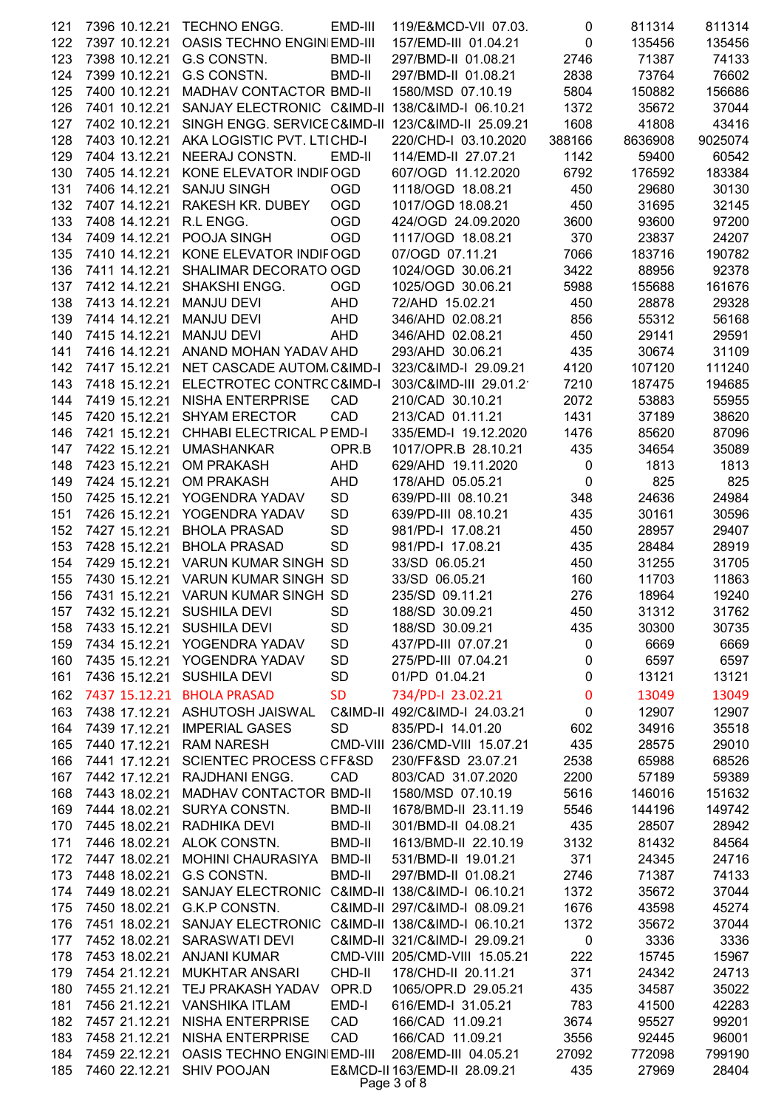| 121        | 7396 10.12.21                  | TECHNO ENGG.                                    | EMD-III                  | 119/E&MCD-VII 07.03.                                            | 0                | 811314         | 811314          |
|------------|--------------------------------|-------------------------------------------------|--------------------------|-----------------------------------------------------------------|------------------|----------------|-----------------|
| 122        | 7397 10.12.21                  | <b>OASIS TECHNO ENGIN EMD-III</b>               |                          | 157/EMD-III 01.04.21                                            | 0                | 135456         | 135456          |
| 123        | 7398 10.12.21                  | G.S CONSTN.                                     | BMD-II                   | 297/BMD-II 01.08.21                                             | 2746             | 71387          | 74133           |
| 124        | 7399 10.12.21                  | <b>G.S CONSTN.</b>                              | BMD-II                   | 297/BMD-II 01.08.21                                             | 2838             | 73764          | 76602           |
| 125        | 7400 10.12.21                  | MADHAV CONTACTOR BMD-II                         |                          | 1580/MSD 07.10.19                                               | 5804             | 150882         | 156686          |
| 126        | 7401 10.12.21                  | SANJAY ELECTRONIC C&IMD-II 138/C&IMD-I 06.10.21 |                          |                                                                 | 1372             | 35672          | 37044           |
| 127        | 7402 10.12.21                  | SINGH ENGG. SERVICE C&IMD-II                    |                          | 123/C&IMD-II 25.09.21                                           | 1608             | 41808          | 43416           |
| 128        | 7403 10.12.21                  | AKA LOGISTIC PVT. LTICHD-I                      |                          | 220/CHD-I 03.10.2020                                            | 388166           | 8636908        | 9025074         |
| 129        | 7404 13.12.21                  | NEERAJ CONSTN.                                  | EMD-II                   | 114/EMD-II 27.07.21                                             | 1142             | 59400          | 60542           |
| 130        | 7405 14.12.21                  | KONE ELEVATOR INDIFOGD                          |                          | 607/OGD 11.12.2020                                              | 6792             | 176592         | 183384          |
| 131        | 7406 14.12.21                  | <b>SANJU SINGH</b>                              | <b>OGD</b>               | 1118/OGD 18.08.21                                               | 450              | 29680          | 30130           |
| 132        | 7407 14.12.21                  | <b>RAKESH KR. DUBEY</b>                         | <b>OGD</b>               | 1017/OGD 18.08.21                                               | 450              | 31695          | 32145           |
| 133        | 7408 14.12.21                  | R.L ENGG.                                       | <b>OGD</b>               | 424/OGD 24.09.2020                                              | 3600             | 93600          | 97200           |
| 134        | 7409 14.12.21                  | POOJA SINGH                                     | <b>OGD</b>               | 1117/OGD 18.08.21                                               | 370              | 23837          | 24207           |
| 135        | 7410 14.12.21                  | KONE ELEVATOR INDIFOGD                          |                          | 07/OGD 07.11.21                                                 | 7066             | 183716         | 190782          |
| 136        | 7411 14.12.21                  | SHALIMAR DECORATO OGD                           |                          | 1024/OGD 30.06.21                                               | 3422             | 88956          | 92378           |
| 137        | 7412 14.12.21                  | SHAKSHI ENGG.<br><b>MANJU DEVI</b>              | <b>OGD</b>               | 1025/OGD 30.06.21                                               | 5988             | 155688         | 161676<br>29328 |
| 138<br>139 | 7413 14.12.21<br>7414 14.12.21 | <b>MANJU DEVI</b>                               | <b>AHD</b><br><b>AHD</b> | 72/AHD 15.02.21<br>346/AHD 02.08.21                             | 450<br>856       | 28878<br>55312 | 56168           |
| 140        | 7415 14.12.21                  | <b>MANJU DEVI</b>                               | AHD                      | 346/AHD 02.08.21                                                | 450              | 29141          | 29591           |
| 141        | 7416 14.12.21                  | ANAND MOHAN YADAV AHD                           |                          | 293/AHD 30.06.21                                                | 435              | 30674          | 31109           |
| 142        | 7417 15.12.21                  | <b>NET CASCADE AUTOM C&amp;IMD-I</b>            |                          | 323/C&IMD-I 29.09.21                                            | 4120             | 107120         | 111240          |
| 143        | 7418 15.12.21                  | ELECTROTEC CONTRC C&IMD-I                       |                          | 303/C&IMD-III 29.01.2                                           | 7210             | 187475         | 194685          |
| 144        | 7419 15.12.21                  | <b>NISHA ENTERPRISE</b>                         | CAD                      | 210/CAD 30.10.21                                                | 2072             | 53883          | 55955           |
| 145        | 7420 15.12.21                  | <b>SHYAM ERECTOR</b>                            | CAD                      | 213/CAD 01.11.21                                                | 1431             | 37189          | 38620           |
| 146        | 7421 15.12.21                  | CHHABI ELECTRICAL PEMD-I                        |                          | 335/EMD-I 19.12.2020                                            | 1476             | 85620          | 87096           |
| 147        | 7422 15.12.21                  | <b>UMASHANKAR</b>                               | OPR.B                    | 1017/OPR.B 28.10.21                                             | 435              | 34654          | 35089           |
| 148        | 7423 15.12.21                  | <b>OM PRAKASH</b>                               | <b>AHD</b>               | 629/AHD 19.11.2020                                              | $\boldsymbol{0}$ | 1813           | 1813            |
| 149        | 7424 15.12.21                  | <b>OM PRAKASH</b>                               | <b>AHD</b>               | 178/AHD 05.05.21                                                | $\boldsymbol{0}$ | 825            | 825             |
| 150        | 7425 15.12.21                  | YOGENDRA YADAV                                  | <b>SD</b>                | 639/PD-III 08.10.21                                             | 348              | 24636          | 24984           |
| 151        | 7426 15.12.21                  | YOGENDRA YADAV                                  | <b>SD</b>                | 639/PD-III 08.10.21                                             | 435              | 30161          | 30596           |
| 152        | 7427 15.12.21                  | <b>BHOLA PRASAD</b>                             | <b>SD</b>                | 981/PD-I 17.08.21                                               | 450              | 28957          | 29407           |
| 153        | 7428 15.12.21                  | <b>BHOLA PRASAD</b>                             | <b>SD</b>                | 981/PD-I 17.08.21                                               | 435              | 28484          | 28919           |
| 154        | 7429 15.12.21                  | <b>VARUN KUMAR SINGH SD</b>                     |                          | 33/SD 06.05.21                                                  | 450              | 31255          | 31705           |
| 155        | 7430 15.12.21                  | VARUN KUMAR SINGH SD                            |                          | 33/SD 06.05.21                                                  | 160              | 11703          | 11863           |
| 156        | 7431 15.12.21                  | <b>VARUN KUMAR SINGH SD</b>                     |                          | 235/SD 09.11.21                                                 | 276              | 18964          | 19240           |
| 157        | 7432 15.12.21                  | <b>SUSHILA DEVI</b>                             | SD                       | 188/SD 30.09.21                                                 | 450              | 31312          | 31762           |
| 158        | 7433 15.12.21                  | <b>SUSHILA DEVI</b>                             | <b>SD</b>                | 188/SD 30.09.21                                                 | 435              | 30300          | 30735           |
| 159        | 7434 15.12.21                  | YOGENDRA YADAV                                  | <b>SD</b>                | 437/PD-III 07.07.21                                             | 0                | 6669           | 6669            |
| 160        | 7435 15.12.21                  | YOGENDRA YADAV                                  | <b>SD</b>                | 275/PD-III 07.04.21                                             | 0                | 6597           | 6597            |
| 161        | 7436 15.12.21                  | <b>SUSHILA DEVI</b>                             | <b>SD</b>                | 01/PD 01.04.21                                                  | 0                | 13121          | 13121           |
| 162        | 7437 15.12.21                  | <b>BHOLA PRASAD</b>                             | <b>SD</b>                | 734/PD-I 23.02.21                                               | 0                | 13049          | 13049           |
| 163        | 7438 17.12.21                  | <b>ASHUTOSH JAISWAL</b>                         |                          | C&IMD-II 492/C&IMD-I 24.03.21                                   | 0                | 12907          | 12907           |
| 164        | 7439 17.12.21                  | <b>IMPERIAL GASES</b>                           | <b>SD</b>                | 835/PD-I 14.01.20                                               | 602              | 34916          | 35518           |
| 165        | 7440 17.12.21                  | <b>RAM NARESH</b>                               |                          | CMD-VIII 236/CMD-VIII 15.07.21                                  | 435              | 28575          | 29010           |
| 166        | 7441 17.12.21                  | <b>SCIENTEC PROCESS CFF&amp;SD</b>              |                          | 230/FF&SD 23.07.21                                              | 2538             | 65988          | 68526           |
| 167        | 7442 17.12.21                  | RAJDHANI ENGG.                                  | CAD                      | 803/CAD 31.07.2020                                              | 2200             | 57189          | 59389           |
| 168        | 7443 18.02.21                  | MADHAV CONTACTOR BMD-II                         |                          | 1580/MSD 07.10.19                                               | 5616             | 146016         | 151632          |
| 169        | 7444 18.02.21                  | SURYA CONSTN.                                   | <b>BMD-II</b>            | 1678/BMD-II 23.11.19                                            | 5546             | 144196         | 149742          |
| 170        | 7445 18.02.21                  | RADHIKA DEVI                                    | <b>BMD-II</b>            | 301/BMD-II 04.08.21                                             | 435              | 28507          | 28942           |
| 171        | 7446 18.02.21                  | ALOK CONSTN.                                    | <b>BMD-II</b>            | 1613/BMD-II 22.10.19                                            | 3132             | 81432          | 84564           |
| 172        | 7447 18.02.21                  | <b>MOHINI CHAURASIYA</b>                        | BMD-II                   | 531/BMD-II 19.01.21                                             | 371              | 24345          | 24716           |
| 173        | 7448 18.02.21                  | G.S CONSTN.                                     | <b>BMD-II</b>            | 297/BMD-II 01.08.21                                             | 2746             | 71387          | 74133           |
| 174        | 7449 18.02.21                  | SANJAY ELECTRONIC                               |                          | C&IMD-II 138/C&IMD-I 06.10.21                                   | 1372             | 35672          | 37044           |
| 175        | 7450 18.02.21                  | G.K.P CONSTN.                                   |                          | C&IMD-II 297/C&IMD-I 08.09.21                                   | 1676             | 43598          | 45274           |
| 176        | 7451 18.02.21                  | <b>SANJAY ELECTRONIC</b>                        |                          | C&IMD-II 138/C&IMD-I 06.10.21                                   | 1372             | 35672          | 37044           |
| 177<br>178 | 7452 18.02.21<br>7453 18.02.21 | <b>SARASWATI DEVI</b><br><b>ANJANI KUMAR</b>    |                          | C&IMD-II 321/C&IMD-I 29.09.21<br>CMD-VIII 205/CMD-VIII 15.05.21 | 0<br>222         | 3336<br>15745  | 3336<br>15967   |
|            | 7454 21.12.21                  | <b>MUKHTAR ANSARI</b>                           | CHD-II                   | 178/CHD-II 20.11.21                                             |                  | 24342          | 24713           |
| 179<br>180 | 7455 21.12.21                  | TEJ PRAKASH YADAV                               | OPR.D                    | 1065/OPR.D 29.05.21                                             | 371<br>435       | 34587          | 35022           |
| 181        | 7456 21.12.21                  | <b>VANSHIKA ITLAM</b>                           | EMD-I                    | 616/EMD-I 31.05.21                                              | 783              | 41500          | 42283           |
| 182        | 7457 21.12.21                  | <b>NISHA ENTERPRISE</b>                         | CAD                      | 166/CAD 11.09.21                                                | 3674             | 95527          | 99201           |
| 183        | 7458 21.12.21                  | <b>NISHA ENTERPRISE</b>                         | CAD                      | 166/CAD 11.09.21                                                | 3556             | 92445          | 96001           |
| 184        | 7459 22.12.21                  | OASIS TECHNO ENGIN EMD-III                      |                          | 208/EMD-III 04.05.21                                            | 27092            | 772098         | 799190          |
| 185        | 7460 22.12.21                  | <b>SHIV POOJAN</b>                              |                          | E&MCD-II 163/EMD-II 28.09.21<br>Page 3 of 8                     | 435              | 27969          | 28404           |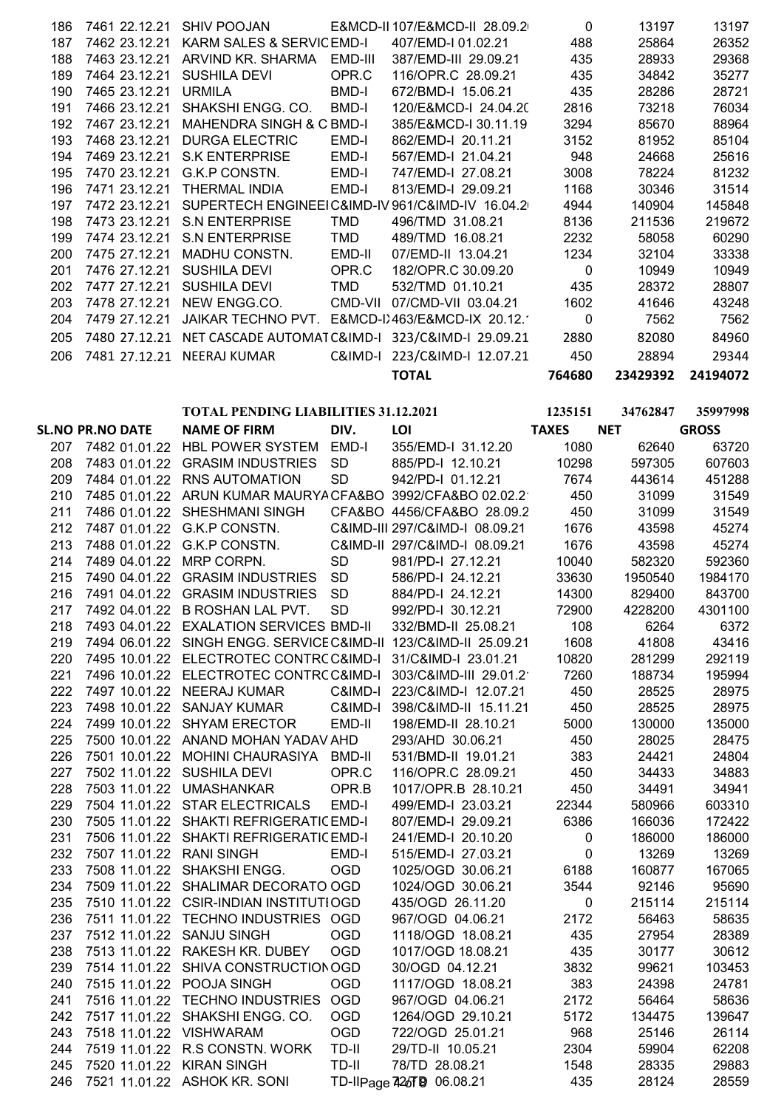| 186        | 7461 22.12.21             | <b>SHIV POOJAN</b>                                               |              | E&MCD-II 107/E&MCD-II 28.09.2               | $\mathbf 0$  | 13197          | 13197          |
|------------|---------------------------|------------------------------------------------------------------|--------------|---------------------------------------------|--------------|----------------|----------------|
| 187        | 7462 23.12.21             | KARM SALES & SERVICEMD-I                                         |              | 407/EMD-I 01.02.21                          | 488          | 25864          | 26352          |
| 188        | 7463 23.12.21             | ARVIND KR. SHARMA                                                | EMD-III      | 387/EMD-III 29.09.21                        | 435          | 28933          | 29368          |
| 189        | 7464 23.12.21             | <b>SUSHILA DEVI</b>                                              | OPR.C        | 116/OPR.C 28.09.21                          | 435          | 34842          | 35277          |
| 190        | 7465 23.12.21             | <b>URMILA</b>                                                    | <b>BMD-I</b> | 672/BMD-I 15.06.21                          | 435          | 28286          | 28721          |
| 191        | 7466 23.12.21             | SHAKSHI ENGG. CO.                                                | <b>BMD-I</b> | 120/E&MCD-I 24.04.20                        | 2816         | 73218          | 76034          |
| 192        | 7467 23.12.21             | MAHENDRA SINGH & C BMD-I                                         |              | 385/E&MCD-I 30.11.19                        | 3294         | 85670          | 88964          |
| 193        | 7468 23.12.21             | <b>DURGA ELECTRIC</b>                                            | EMD-I        | 862/EMD-I 20.11.21                          | 3152         | 81952          | 85104          |
| 194        | 7469 23.12.21             | <b>S.K ENTERPRISE</b>                                            | EMD-I        | 567/EMD-I 21.04.21                          | 948          | 24668          | 25616          |
| 195        | 7470 23.12.21             | G.K.P CONSTN.                                                    | EMD-I        | 747/EMD-I 27.08.21                          | 3008         | 78224          | 81232          |
| 196        | 7471 23.12.21             | <b>THERMAL INDIA</b>                                             | EMD-I        | 813/EMD-I 29.09.21                          | 1168         | 30346          | 31514          |
| 197        | 7472 23.12.21             | SUPERTECH ENGINEEI C&IMD-IV 961/C&IMD-IV 16.04.2                 |              |                                             | 4944         | 140904         | 145848         |
| 198        | 7473 23.12.21             | <b>S.N ENTERPRISE</b>                                            | <b>TMD</b>   | 496/TMD 31.08.21                            | 8136         | 211536         | 219672         |
| 199        | 7474 23.12.21             | <b>S.N ENTERPRISE</b>                                            | TMD          | 489/TMD 16.08.21                            | 2232         | 58058          | 60290          |
| 200        | 7475 27.12.21             | MADHU CONSTN.                                                    | EMD-II       | 07/EMD-II 13.04.21                          | 1234         | 32104          | 33338          |
| 201        | 7476 27.12.21             | <b>SUSHILA DEVI</b>                                              | OPR.C        | 182/OPR.C 30.09.20                          | 0            | 10949          | 10949          |
| 202        | 7477 27.12.21             | <b>SUSHILA DEVI</b>                                              | <b>TMD</b>   | 532/TMD 01.10.21                            | 435          | 28372          | 28807          |
| 203        | 7478 27.12.21             | NEW ENGG.CO.                                                     |              | CMD-VII 07/CMD-VII 03.04.21                 | 1602         | 41646          | 43248          |
| 204        | 7479 27.12.21             | JAIKAR TECHNO PVT. E&MCD-I) 463/E&MCD-IX 20.12.                  |              |                                             | 0            | 7562           | 7562           |
| 205        | 7480 27.12.21             | NET CASCADE AUTOMAT C&IMD-I 323/C&IMD-I 29.09.21                 |              |                                             | 2880         | 82080          | 84960          |
| 206        |                           | 7481 27.12.21 NEERAJ KUMAR                                       |              | C&IMD-I 223/C&IMD-I 12.07.21                | 450          | 28894          | 29344          |
|            |                           |                                                                  |              | <b>TOTAL</b>                                | 764680       | 23429392       | 24194072       |
|            |                           |                                                                  |              |                                             |              |                |                |
|            |                           | <b>TOTAL PENDING LIABILITIES 31.12.2021</b>                      |              |                                             | 1235151      | 34762847       | 35997998       |
|            | <b>SL.NO PR.NO DATE</b>   | <b>NAME OF FIRM</b>                                              | DIV.         | LOI                                         | <b>TAXES</b> | <b>NET</b>     | <b>GROSS</b>   |
| 207        | 7482 01.01.22             | HBL POWER SYSTEM                                                 | EMD-I        | 355/EMD-I 31.12.20                          | 1080         | 62640          | 63720          |
| 208        | 7483 01.01.22             | <b>GRASIM INDUSTRIES</b>                                         | <b>SD</b>    | 885/PD-I 12.10.21                           | 10298        | 597305         | 607603         |
| 209        | 7484 01.01.22             | <b>RNS AUTOMATION</b>                                            | <b>SD</b>    | 942/PD-I 01.12.21                           | 7674         | 443614         | 451288         |
| 210        | 7485 01.01.22             | ARUN KUMAR MAURYA CFA&BO 3992/CFA&BO 02.02.2                     |              |                                             | 450          | 31099          | 31549          |
| 211        | 7486 01.01.22             | SHESHMANI SINGH                                                  |              | CFA&BO 4456/CFA&BO 28.09.2                  | 450          | 31099          | 31549          |
| 212        |                           | 7487 01.01.22 G.K.P CONSTN.                                      |              | C&IMD-III 297/C&IMD-I 08.09.21              | 1676         | 43598          | 45274          |
| 213        |                           | 7488 01.01.22 G.K.P CONSTN.                                      |              | C&IMD-II 297/C&IMD-I 08.09.21               | 1676         | 43598          | 45274          |
| 214        | 7489 04.01.22             | MRP CORPN.                                                       | <b>SD</b>    | 981/PD-I 27.12.21                           | 10040        | 582320         | 592360         |
| 215        |                           | 7490 04.01.22 GRASIM INDUSTRIES                                  | <b>SD</b>    | 586/PD-I 24.12.21                           | 33630        | 1950540        | 1984170        |
| 216        |                           | 7491 04.01.22 GRASIM INDUSTRIES                                  | <b>SD</b>    | 884/PD-I 24.12.21                           | 14300        | 829400         | 843700         |
|            |                           | 217 7492 04.01.22 B ROSHAN LAL PVT. SD                           |              | 992/PD-I 30.12.21                           | 72900        | 4228200        | 4301100        |
| 218        |                           | 7493 04.01.22 EXALATION SERVICES BMD-II                          |              | 332/BMD-II 25.08.21                         | 108          | 6264           | 6372           |
| 219        |                           | 7494 06.01.22 SINGH ENGG. SERVICE C&IMD-II 123/C&IMD-II 25.09.21 |              |                                             | 1608         | 41808          | 43416          |
| 220        |                           | 7495 10.01.22 ELECTROTEC CONTRC C&IMD-I 31/C&IMD-I 23.01.21      |              |                                             | 10820        | 281299         | 292119         |
| 221        |                           | 7496 10.01.22 ELECTROTEC CONTRC C&IMD-I                          |              | 303/C&IMD-III 29.01.2                       | 7260         | 188734         | 195994         |
| 222        |                           | 7497 10.01.22 NEERAJ KUMAR                                       | C&IMD-I      | 223/C&IMD-I 12.07.21                        | 450          | 28525          | 28975          |
| 223        |                           | 7498 10.01.22 SANJAY KUMAR                                       | C&IMD-I      | 398/C&IMD-II 15.11.21                       | 450          | 28525          | 28975          |
| 224        |                           | 7499 10.01.22 SHYAM ERECTOR                                      | EMD-II       | 198/EMD-II 28.10.21                         | 5000         | 130000         | 135000         |
| 225        |                           | 7500 10.01.22 ANAND MOHAN YADAV AHD                              |              | 293/AHD 30.06.21                            | 450          | 28025          | 28475          |
| 226        |                           | 7501 10.01.22 MOHINI CHAURASIYA BMD-II                           |              | 531/BMD-II 19.01.21                         | 383          | 24421          | 24804          |
| 227        |                           | 7502 11.01.22 SUSHILA DEVI                                       | OPR.C        | 116/OPR.C 28.09.21                          | 450          | 34433          | 34883          |
| 228        |                           | 7503 11.01.22 UMASHANKAR                                         | OPR.B        | 1017/OPR.B 28.10.21                         | 450          | 34491          | 34941          |
| 229        |                           | 7504 11.01.22 STAR ELECTRICALS                                   | EMD-I        | 499/EMD-I 23.03.21                          | 22344        | 580966         | 603310         |
| 230        |                           | 7505 11.01.22 SHAKTI REFRIGERATIC EMD-I                          |              | 807/EMD-I 29.09.21                          | 6386         | 166036         | 172422         |
| 231        |                           | 7506 11.01.22 SHAKTI REFRIGERATIC EMD-I                          |              | 241/EMD-I 20.10.20                          | $\mathbf 0$  | 186000         | 186000         |
| 232        | 7507 11.01.22 RANI SINGH  |                                                                  | EMD-I        | 515/EMD-I 27.03.21                          | $\pmb{0}$    | 13269          | 13269          |
| 233        |                           | 7508 11.01.22 SHAKSHI ENGG.                                      | <b>OGD</b>   | 1025/OGD 30.06.21                           | 6188         | 160877         | 167065         |
| 234        |                           | 7509 11.01.22 SHALIMAR DECORATO OGD                              |              | 1024/OGD 30.06.21                           | 3544         | 92146          | 95690          |
| 235        |                           | 7510 11.01.22 CSIR-INDIAN INSTITUTIOGD                           |              | 435/OGD 26.11.20                            | 0            | 215114         | 215114         |
| 236        |                           | 7511 11.01.22 TECHNO INDUSTRIES OGD                              |              | 967/OGD 04.06.21                            | 2172         | 56463          | 58635          |
| 237        |                           | 7512 11.01.22 SANJU SINGH                                        | <b>OGD</b>   | 1118/OGD 18.08.21                           | 435          | 27954          | 28389          |
| 238        |                           | 7513 11.01.22 RAKESH KR. DUBEY                                   | <b>OGD</b>   | 1017/OGD 18.08.21                           | 435          | 30177          | 30612          |
| 239        |                           | 7514 11.01.22 SHIVA CONSTRUCTION OGD                             |              | 30/OGD 04.12.21                             | 3832         | 99621          | 103453         |
|            |                           |                                                                  |              | 1117/OGD 18.08.21                           |              |                | 24781          |
| 240        |                           | 7515 11.01.22 POOJA SINGH                                        | <b>OGD</b>   |                                             | 383          | 24398          |                |
| 241        |                           | 7516 11.01.22 TECHNO INDUSTRIES OGD                              |              | 967/OGD 04.06.21                            | 2172         | 56464          | 58636          |
| 242        |                           | 7517 11.01.22 SHAKSHI ENGG. CO.                                  | <b>OGD</b>   | 1264/OGD 29.10.21                           | 5172         | 134475         | 139647         |
| 243        | 7518 11.01.22 VISHWARAM   |                                                                  | <b>OGD</b>   | 722/OGD 25.01.21                            | 968          | 25146          | 26114          |
| 244        |                           | 7519 11.01.22 R.S CONSTN. WORK                                   | TD-II        | 29/TD-II 10.05.21                           | 2304         | 59904          | 62208          |
| 245<br>246 | 7520 11.01.22 KIRAN SINGH | 7521 11.01.22 ASHOK KR. SONI                                     | TD-II        | 78/TD 28.08.21<br>TD-IIPage 726 TD 06.08.21 | 1548<br>435  | 28335<br>28124 | 29883<br>28559 |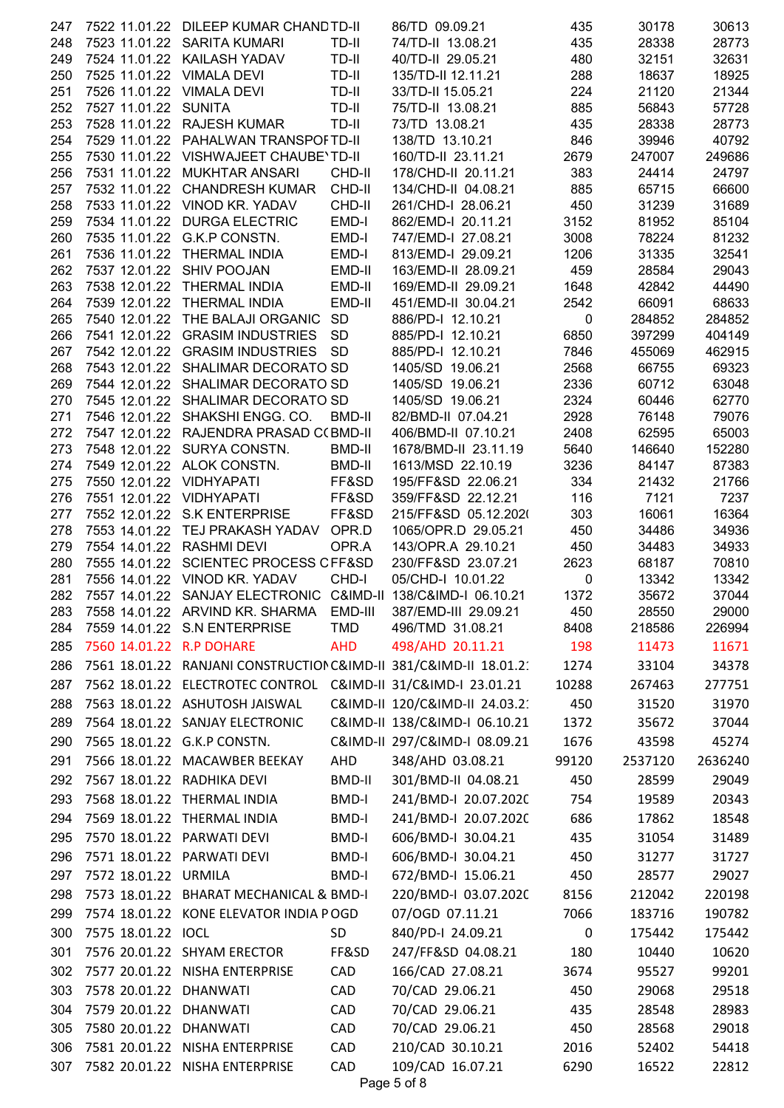| 247        |                                | 7522 11.01.22 DILEEP KUMAR CHAND TD-II                            |                  | 86/TD 09.09.21                             | 435         | 30178          | 30613          |
|------------|--------------------------------|-------------------------------------------------------------------|------------------|--------------------------------------------|-------------|----------------|----------------|
| 248        | 7523 11.01.22                  | <b>SARITA KUMARI</b>                                              | TD-II            | 74/TD-II 13.08.21                          | 435         | 28338          | 28773          |
| 249        | 7524 11.01.22                  | <b>KAILASH YADAV</b>                                              | TD-II            | 40/TD-II 29.05.21                          | 480         | 32151          | 32631          |
| 250        | 7525 11.01.22                  | <b>VIMALA DEVI</b>                                                | TD-II            | 135/TD-II 12.11.21                         | 288         | 18637          | 18925          |
| 251        | 7526 11.01.22                  | <b>VIMALA DEVI</b>                                                | TD-II            | 33/TD-II 15.05.21                          | 224         | 21120          | 21344          |
| 252        | 7527 11.01.22                  | <b>SUNITA</b>                                                     | TD-II            | 75/TD-II 13.08.21                          | 885         | 56843          | 57728          |
| 253        | 7528 11.01.22                  | <b>RAJESH KUMAR</b>                                               | TD-II            | 73/TD 13.08.21                             | 435         | 28338          | 28773          |
| 254        | 7529 11.01.22                  | PAHALWAN TRANSPOF TD-II                                           |                  | 138/TD 13.10.21                            | 846         | 39946          | 40792          |
| 255        | 7530 11.01.22                  | VISHWAJEET CHAUBE'TD-II                                           |                  | 160/TD-II 23.11.21                         | 2679        | 247007         | 249686         |
| 256        | 7531 11.01.22                  | MUKHTAR ANSARI                                                    | CHD-II           | 178/CHD-II 20.11.21                        | 383         | 24414          | 24797          |
| 257        |                                | 7532 11.01.22 CHANDRESH KUMAR                                     | CHD-II           | 134/CHD-II 04.08.21                        | 885         | 65715          | 66600          |
| 258        |                                | 7533 11.01.22 VINOD KR. YADAV                                     | CHD-II           | 261/CHD-I 28.06.21                         | 450         | 31239          | 31689          |
| 259        |                                | 7534 11.01.22 DURGA ELECTRIC                                      | EMD-I            | 862/EMD-I 20.11.21                         | 3152        | 81952          | 85104          |
| 260        |                                | 7535 11.01.22 G.K.P CONSTN.                                       | EMD-I            | 747/EMD-I 27.08.21                         | 3008        | 78224          | 81232          |
| 261        | 7536 11.01.22                  | <b>THERMAL INDIA</b>                                              | EMD-I            | 813/EMD-I 29.09.21                         | 1206        | 31335          | 32541          |
| 262<br>263 | 7537 12.01.22<br>7538 12.01.22 | <b>SHIV POOJAN</b><br><b>THERMAL INDIA</b>                        | EMD-II<br>EMD-II | 163/EMD-II 28.09.21<br>169/EMD-II 29.09.21 | 459<br>1648 | 28584<br>42842 | 29043<br>44490 |
| 264        | 7539 12.01.22                  | <b>THERMAL INDIA</b>                                              | EMD-II           | 451/EMD-II 30.04.21                        | 2542        | 66091          | 68633          |
| 265        | 7540 12.01.22                  | THE BALAJI ORGANIC                                                | <b>SD</b>        | 886/PD-I 12.10.21                          | 0           | 284852         | 284852         |
| 266        | 7541 12.01.22                  | <b>GRASIM INDUSTRIES</b>                                          | <b>SD</b>        | 885/PD-I 12.10.21                          | 6850        | 397299         | 404149         |
| 267        | 7542 12.01.22                  | <b>GRASIM INDUSTRIES</b>                                          | <b>SD</b>        | 885/PD-I 12.10.21                          | 7846        | 455069         | 462915         |
| 268        | 7543 12.01.22                  | SHALIMAR DECORATO SD                                              |                  | 1405/SD 19.06.21                           | 2568        | 66755          | 69323          |
| 269        | 7544 12.01.22                  | SHALIMAR DECORATO SD                                              |                  | 1405/SD 19.06.21                           | 2336        | 60712          | 63048          |
| 270        | 7545 12.01.22                  | SHALIMAR DECORATO SD                                              |                  | 1405/SD 19.06.21                           | 2324        | 60446          | 62770          |
| 271        | 7546 12.01.22                  | SHAKSHI ENGG. CO.                                                 | <b>BMD-II</b>    | 82/BMD-II 07.04.21                         | 2928        | 76148          | 79076          |
| 272        | 7547 12.01.22                  | RAJENDRA PRASAD C(BMD-II                                          |                  | 406/BMD-II 07.10.21                        | 2408        | 62595          | 65003          |
| 273        | 7548 12.01.22                  | SURYA CONSTN.                                                     | <b>BMD-II</b>    | 1678/BMD-II 23.11.19                       | 5640        | 146640         | 152280         |
| 274        |                                | 7549 12.01.22 ALOK CONSTN.                                        | <b>BMD-II</b>    | 1613/MSD 22.10.19                          | 3236        | 84147          | 87383          |
| 275        | 7550 12.01.22                  | VIDHYAPATI                                                        | FF&SD            | 195/FF&SD 22.06.21                         | 334         | 21432          | 21766          |
| 276        | 7551 12.01.22                  | VIDHYAPATI                                                        | FF&SD            | 359/FF&SD 22.12.21                         | 116         | 7121           | 7237           |
| 277        | 7552 12.01.22                  | <b>S.K ENTERPRISE</b>                                             | FF&SD            | 215/FF&SD 05.12.2020                       | 303         | 16061          | 16364          |
| 278        | 7553 14.01.22                  | TEJ PRAKASH YADAV                                                 | OPR.D            | 1065/OPR.D 29.05.21                        | 450         | 34486          | 34936          |
| 279        | 7554 14.01.22                  | <b>RASHMI DEVI</b>                                                | OPR.A            | 143/OPR.A 29.10.21                         | 450         | 34483          | 34933          |
| 280        | 7555 14.01.22                  | <b>SCIENTEC PROCESS CFF&amp;SD</b>                                |                  | 230/FF&SD 23.07.21                         | 2623        | 68187          | 70810          |
| 281        | 7556 14.01.22                  | VINOD KR. YADAV                                                   | CHD-I            | 05/CHD-I 10.01.22                          | 0           | 13342          | 13342          |
| 282        |                                | 7557 14.01.22 SANJAY ELECTRONIC C&IMD-II 138/C&IMD-I 06.10.21     |                  |                                            | 1372        | 35672          | 37044          |
| 283        |                                | 7558 14.01.22 ARVIND KR. SHARMA                                   | EMD-III          | 387/EMD-III 29.09.21                       | 450         | 28550          | 29000          |
| 284        |                                | 7559 14.01.22 S.N ENTERPRISE                                      | <b>TMD</b>       | 496/TMD 31.08.21                           | 8408        | 218586         | 226994         |
| 285        | 7560 14.01.22 R.P DOHARE       |                                                                   | <b>AHD</b>       | 498/AHD 20.11.21                           | 198         | 11473          | 11671          |
| 286        |                                | 7561 18.01.22 RANJANI CONSTRUCTION C&IMD-II 381/C&IMD-II 18.01.2. |                  |                                            | 1274        | 33104          | 34378          |
| 287        |                                | 7562 18.01.22 ELECTROTEC CONTROL C&IMD-II 31/C&IMD-I 23.01.21     |                  |                                            | 10288       | 267463         | 277751         |
| 288        |                                | 7563 18.01.22 ASHUTOSH JAISWAL                                    |                  | C&IMD-II 120/C&IMD-II 24.03.2.             | 450         | 31520          | 31970          |
| 289        |                                | 7564 18.01.22 SANJAY ELECTRONIC                                   |                  | C&IMD-II 138/C&IMD-I 06.10.21              | 1372        | 35672          | 37044          |
|            |                                |                                                                   |                  |                                            |             |                |                |
| 290        | 7565 18.01.22 G.K.P CONSTN.    |                                                                   |                  | C&IMD-II 297/C&IMD-I 08.09.21              | 1676        | 43598          | 45274          |
| 291        |                                | 7566 18.01.22 MACAWBER BEEKAY                                     | AHD              | 348/AHD 03.08.21                           | 99120       | 2537120        | 2636240        |
| 292        | 7567 18.01.22 RADHIKA DEVI     |                                                                   | BMD-II           | 301/BMD-II 04.08.21                        | 450         | 28599          | 29049          |
| 293        |                                | 7568 18.01.22 THERMAL INDIA                                       | BMD-I            | 241/BMD-I 20.07.2020                       | 754         | 19589          | 20343          |
| 294        |                                | 7569 18.01.22 THERMAL INDIA                                       | BMD-I            | 241/BMD-I 20.07.2020                       | 686         | 17862          | 18548          |
| 295        | 7570 18.01.22 PARWATI DEVI     |                                                                   | BMD-I            | 606/BMD-I 30.04.21                         | 435         | 31054          | 31489          |
| 296        | 7571 18.01.22 PARWATI DEVI     |                                                                   | BMD-I            | 606/BMD-I 30.04.21                         | 450         | 31277          | 31727          |
|            |                                |                                                                   |                  |                                            |             |                | 29027          |
| 297        | 7572 18.01.22 URMILA           |                                                                   | BMD-I            | 672/BMD-I 15.06.21                         | 450         | 28577          |                |
| 298        |                                | 7573 18.01.22 BHARAT MECHANICAL & BMD-I                           |                  | 220/BMD-I 03.07.2020                       | 8156        | 212042         | 220198         |
| 299        |                                | 7574 18.01.22 KONE ELEVATOR INDIA POGD                            |                  | 07/OGD 07.11.21                            | 7066        | 183716         | 190782         |
| 300        | 7575 18.01.22 IOCL             |                                                                   | SD.              | 840/PD-I 24.09.21                          | $\mathbf 0$ | 175442         | 175442         |
| 301        |                                | 7576 20.01.22 SHYAM ERECTOR                                       | FF&SD            | 247/FF&SD 04.08.21                         | 180         | 10440          | 10620          |
| 302        |                                | 7577 20.01.22 NISHA ENTERPRISE                                    | CAD              | 166/CAD 27.08.21                           | 3674        | 95527          | 99201          |
| 303        | 7578 20.01.22 DHANWATI         |                                                                   | CAD              | 70/CAD 29.06.21                            | 450         | 29068          | 29518          |
| 304        | 7579 20.01.22 DHANWATI         |                                                                   | CAD              | 70/CAD 29.06.21                            | 435         | 28548          | 28983          |
|            |                                |                                                                   |                  |                                            |             |                |                |
| 305        | 7580 20.01.22 DHANWATI         |                                                                   | CAD              | 70/CAD 29.06.21                            | 450         | 28568          | 29018          |
| 306        |                                | 7581 20.01.22 NISHA ENTERPRISE                                    | CAD              | 210/CAD 30.10.21                           | 2016        | 52402          | 54418          |
| 307        |                                | 7582 20.01.22 NISHA ENTERPRISE                                    | CAD              | 109/CAD 16.07.21                           | 6290        | 16522          | 22812          |
|            |                                |                                                                   |                  | Page 5 of 8                                |             |                |                |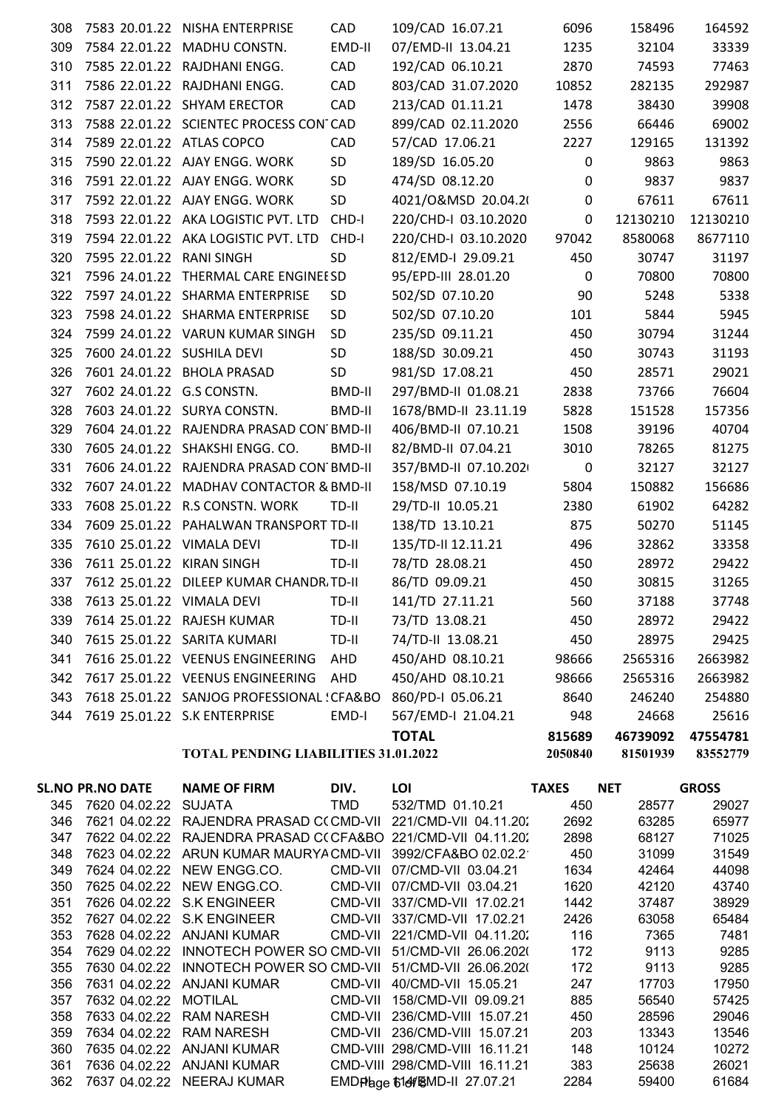| 308        |                            | 7583 20.01.22 NISHA ENTERPRISE                                                            | CAD           | 109/CAD 16.07.21                                            | 6096         | 158496         | 164592         |
|------------|----------------------------|-------------------------------------------------------------------------------------------|---------------|-------------------------------------------------------------|--------------|----------------|----------------|
| 309        |                            | 7584 22.01.22 MADHU CONSTN.                                                               | EMD-II        | 07/EMD-II 13.04.21                                          | 1235         | 32104          | 33339          |
| 310        |                            | 7585 22.01.22 RAJDHANI ENGG.                                                              | CAD           | 192/CAD 06.10.21                                            | 2870         | 74593          | 77463          |
| 311        |                            | 7586 22.01.22 RAJDHANI ENGG.                                                              | CAD           | 803/CAD 31.07.2020                                          | 10852        | 282135         | 292987         |
| 312        |                            | 7587 22.01.22 SHYAM ERECTOR                                                               | CAD           | 213/CAD 01.11.21                                            | 1478         | 38430          | 39908          |
| 313        |                            | 7588 22.01.22 SCIENTEC PROCESS CON CAD                                                    |               | 899/CAD 02.11.2020                                          | 2556         | 66446          | 69002          |
| 314        | 7589 22.01.22 ATLAS COPCO  |                                                                                           | CAD           | 57/CAD 17.06.21                                             | 2227         | 129165         | 131392         |
| 315        |                            | 7590 22.01.22 AJAY ENGG. WORK                                                             | SD            | 189/SD 16.05.20                                             | 0            | 9863           | 9863           |
| 316        |                            | 7591 22.01.22 AJAY ENGG. WORK                                                             | SD            | 474/SD 08.12.20                                             | 0            | 9837           | 9837           |
| 317        |                            | 7592 22.01.22 AJAY ENGG. WORK                                                             | SD            | 4021/O&MSD 20.04.20                                         | 0            | 67611          | 67611          |
| 318        |                            | 7593 22.01.22 AKA LOGISTIC PVT. LTD                                                       | CHD-I         | 220/CHD-I 03.10.2020                                        | 0            | 12130210       | 12130210       |
| 319        |                            | 7594 22.01.22 AKA LOGISTIC PVT. LTD                                                       | CHD-I         | 220/CHD-I 03.10.2020                                        | 97042        | 8580068        | 8677110        |
| 320        | 7595 22.01.22 RANI SINGH   |                                                                                           | <b>SD</b>     | 812/EMD-I 29.09.21                                          | 450          | 30747          | 31197          |
| 321        |                            | 7596 24.01.22 THERMAL CARE ENGINEESD                                                      |               | 95/EPD-III 28.01.20                                         | 0            | 70800          | 70800          |
| 322        |                            | 7597 24.01.22 SHARMA ENTERPRISE                                                           | SD            | 502/SD 07.10.20                                             | 90           | 5248           | 5338           |
| 323        |                            | 7598 24.01.22 SHARMA ENTERPRISE                                                           | <b>SD</b>     | 502/SD 07.10.20                                             | 101          | 5844           | 5945           |
| 324        |                            | 7599 24.01.22 VARUN KUMAR SINGH                                                           | SD            | 235/SD 09.11.21                                             | 450          | 30794          | 31244          |
| 325        | 7600 24.01.22 SUSHILA DEVI |                                                                                           | <b>SD</b>     | 188/SD 30.09.21                                             | 450          | 30743          | 31193          |
| 326        |                            | 7601 24.01.22 BHOLA PRASAD                                                                | <b>SD</b>     | 981/SD 17.08.21                                             | 450          | 28571          | 29021          |
| 327        | 7602 24.01.22 G.S CONSTN.  |                                                                                           | <b>BMD-II</b> | 297/BMD-II 01.08.21                                         | 2838         | 73766          | 76604          |
| 328        |                            | 7603 24.01.22 SURYA CONSTN.                                                               | <b>BMD-II</b> | 1678/BMD-II 23.11.19                                        | 5828         | 151528         | 157356         |
| 329        |                            | 7604 24.01.22 RAJENDRA PRASAD CON BMD-II                                                  |               | 406/BMD-II 07.10.21                                         | 1508         | 39196          | 40704          |
| 330        |                            | 7605 24.01.22 SHAKSHI ENGG. CO.                                                           | <b>BMD-II</b> | 82/BMD-II 07.04.21                                          | 3010         | 78265          | 81275          |
| 331        |                            | 7606 24.01.22 RAJENDRA PRASAD CON BMD-II                                                  |               | 357/BMD-II 07.10.202                                        | 0            | 32127          | 32127          |
| 332        |                            | 7607 24.01.22 MADHAV CONTACTOR & BMD-II                                                   |               | 158/MSD 07.10.19                                            | 5804         | 150882         | 156686         |
| 333        |                            | 7608 25.01.22 R.S CONSTN. WORK                                                            | TD-II         | 29/TD-II 10.05.21                                           | 2380         | 61902          | 64282          |
| 334        |                            | 7609 25.01.22 PAHALWAN TRANSPORT TD-II                                                    |               | 138/TD 13.10.21                                             | 875          | 50270          | 51145          |
| 335        | 7610 25.01.22 VIMALA DEVI  |                                                                                           | TD-II         | 135/TD-II 12.11.21                                          | 496          | 32862          | 33358          |
| 336        | 7611 25.01.22 KIRAN SINGH  |                                                                                           | TD-II         | 78/TD 28.08.21                                              | 450          | 28972          | 29422          |
| 337        |                            | 7612 25.01.22 DILEEP KUMAR CHANDR. TD-II                                                  |               | 86/TD 09.09.21                                              | 450          | 30815          | 31265          |
| 338        | 7613 25.01.22 VIMALA DEVI  |                                                                                           | TD-II         | 141/TD 27.11.21                                             | 560          | 37188          | 37748          |
| 339        |                            | 7614 25.01.22 RAJESH KUMAR                                                                | TD-II         | 73/TD 13.08.21                                              | 450          | 28972          | 29422          |
| 340        |                            | 7615 25.01.22 SARITA KUMARI                                                               | TD-II         | 74/TD-II 13.08.21                                           | 450          | 28975          | 29425          |
| 341        |                            | 7616 25.01.22 VEENUS ENGINEERING AHD                                                      |               | 450/AHD 08.10.21                                            | 98666        | 2565316        | 2663982        |
| 342        |                            | 7617 25.01.22 VEENUS ENGINEERING                                                          | AHD           | 450/AHD 08.10.21                                            | 98666        | 2565316        | 2663982        |
| 343        |                            | 7618 25.01.22 SANJOG PROFESSIONAL : CFA&BO                                                |               | 860/PD-I 05.06.21                                           | 8640         | 246240         | 254880         |
| 344        |                            | 7619 25.01.22 S.K ENTERPRISE                                                              | EMD-I         | 567/EMD-I 21.04.21                                          | 948          | 24668          | 25616          |
|            |                            |                                                                                           |               | <b>TOTAL</b>                                                | 815689       | 46739092       | 47554781       |
|            |                            | <b>TOTAL PENDING LIABILITIES 31.01.2022</b>                                               |               |                                                             | 2050840      | 81501939       | 83552779       |
|            |                            |                                                                                           |               |                                                             |              |                |                |
|            | <b>SL.NO PR.NO DATE</b>    | <b>NAME OF FIRM</b>                                                                       | DIV.          | LOI                                                         | <b>TAXES</b> | <b>NET</b>     | <b>GROSS</b>   |
| 345        | 7620 04.02.22 SUJATA       |                                                                                           | <b>TMD</b>    | 532/TMD 01.10.21                                            | 450          | 28577          | 29027          |
| 346        |                            | 7621 04.02.22 RAJENDRA PRASAD C(CMD-VII 221/CMD-VII 04.11.20)                             |               |                                                             | 2692         | 63285          | 65977          |
| 347        |                            | 7622 04.02.22 RAJENDRA PRASAD C(CFA&BO 221/CMD-VII 04.11.20)                              |               |                                                             | 2898         | 68127          | 71025          |
| 348<br>349 |                            | 7623 04.02.22 ARUN KUMAR MAURYA CMD-VII 3992/CFA&BO 02.02.2<br>7624 04.02.22 NEW ENGG.CO. |               | CMD-VII 07/CMD-VII 03.04.21                                 | 450<br>1634  | 31099<br>42464 | 31549<br>44098 |
| 350        |                            | 7625 04.02.22 NEW ENGG.CO.                                                                |               | CMD-VII 07/CMD-VII 03.04.21                                 | 1620         | 42120          | 43740          |
| 351        |                            | 7626 04.02.22 S.K ENGINEER                                                                |               | CMD-VII 337/CMD-VII 17.02.21                                | 1442         | 37487          | 38929          |
| 352        |                            | 7627 04.02.22 S.K ENGINEER                                                                |               | CMD-VII 337/CMD-VII 17.02.21                                | 2426         | 63058          | 65484          |
| 353        |                            | 7628 04.02.22 ANJANI KUMAR                                                                |               | CMD-VII 221/CMD-VII 04.11.20                                | 116          | 7365           | 7481           |
| 354        |                            | 7629 04.02.22 INNOTECH POWER SO CMD-VII 51/CMD-VII 26.06.2020                             |               |                                                             | 172          | 9113           | 9285           |
| 355        |                            | 7630 04.02.22 INNOTECH POWER SO CMD-VII 51/CMD-VII 26.06.2020                             |               |                                                             | 172          | 9113           | 9285           |
| 356<br>357 | 7632 04.02.22              | 7631 04.02.22 ANJANI KUMAR<br><b>MOTILAL</b>                                              |               | CMD-VII 40/CMD-VII 15.05.21<br>CMD-VII 158/CMD-VII 09.09.21 | 247<br>885   | 17703<br>56540 | 17950<br>57425 |
| 358        |                            | 7633 04.02.22 RAM NARESH                                                                  |               | CMD-VII 236/CMD-VIII 15.07.21                               | 450          | 28596          | 29046          |
| 359        |                            | 7634 04.02.22 RAM NARESH                                                                  |               | CMD-VII 236/CMD-VIII 15.07.21                               | 203          | 13343          | 13546          |
| 360        |                            | 7635 04.02.22 ANJANI KUMAR                                                                |               | CMD-VIII 298/CMD-VIII 16.11.21                              | 148          | 10124          | 10272          |
| 361        |                            | 7636 04.02.22 ANJANI KUMAR                                                                |               | CMD-VIII 298/CMD-VIII 16.11.21                              | 383          | 25638          | 26021          |

362 7637 04.02.22 NEERAJ KUMAR EMD**Plage 61ef BMD-II** 27.07.21 2284 59400 61684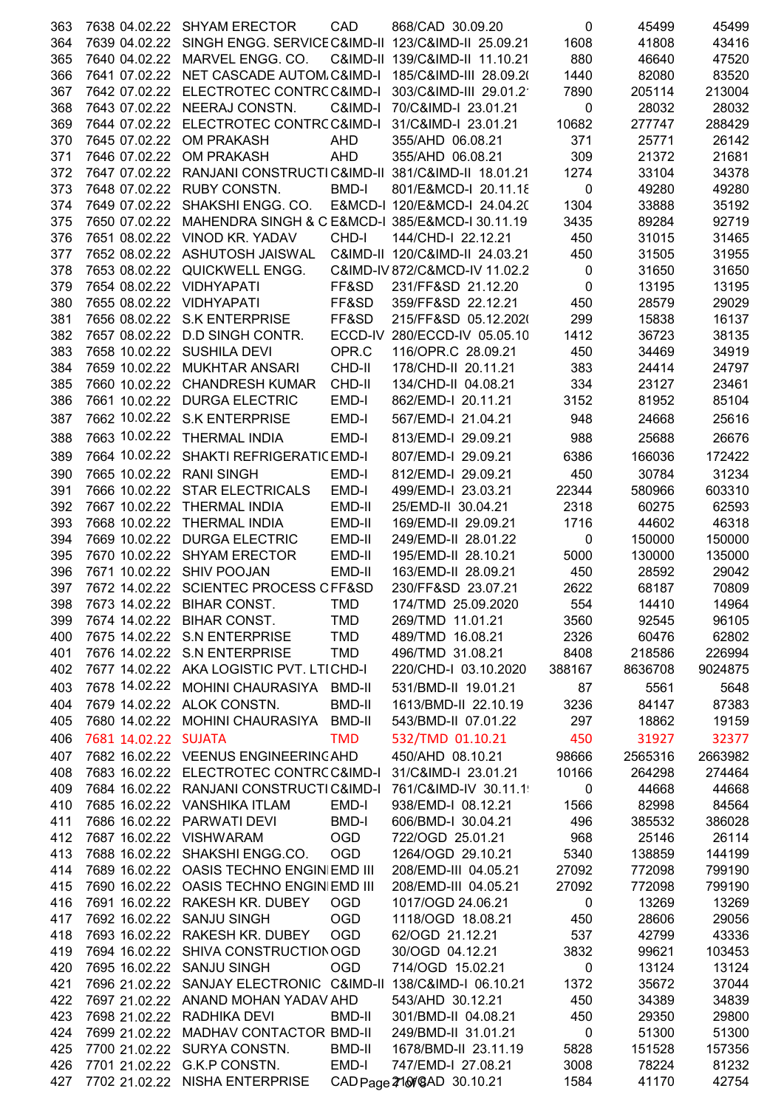| 363 |                           | 7638 04.02.22 SHYAM ERECTOR                                   | CAD           | 868/CAD 30.09.20               | 0         | 45499   | 45499   |
|-----|---------------------------|---------------------------------------------------------------|---------------|--------------------------------|-----------|---------|---------|
| 364 | 7639 04.02.22             | SINGH ENGG. SERVICE C&IMD-II 123/C&IMD-II 25.09.21            |               |                                | 1608      | 41808   | 43416   |
| 365 | 7640 04.02.22             | MARVEL ENGG. CO.                                              |               | C&IMD-II 139/C&IMD-II 11.10.21 | 880       | 46640   | 47520   |
| 366 | 7641 07.02.22             | NET CASCADE AUTOM C&IMD-I                                     |               | 185/C&IMD-III 28.09.20         | 1440      | 82080   | 83520   |
| 367 | 7642 07.02.22             | ELECTROTEC CONTRCC&IMD-I                                      |               | 303/C&IMD-III 29.01.2          | 7890      | 205114  | 213004  |
| 368 |                           | 7643 07.02.22 NEERAJ CONSTN.                                  | C&IMD-I       | 70/C&IMD-I 23.01.21            | 0         | 28032   | 28032   |
| 369 |                           | 7644 07.02.22 ELECTROTEC CONTRC C&IMD-I                       |               | 31/C&IMD-I 23.01.21            | 10682     | 277747  | 288429  |
| 370 | 7645 07.02.22             | <b>OM PRAKASH</b>                                             | AHD           | 355/AHD 06.08.21               | 371       | 25771   | 26142   |
| 371 | 7646 07.02.22             | <b>OM PRAKASH</b>                                             | AHD           | 355/AHD 06.08.21               | 309       | 21372   | 21681   |
| 372 | 7647 07.02.22             | RANJANI CONSTRUCTI C&IMD-II 381/C&IMD-II 18.01.21             |               |                                | 1274      | 33104   | 34378   |
| 373 |                           | 7648 07.02.22 RUBY CONSTN.                                    | <b>BMD-I</b>  | 801/E&MCD-I 20.11.18           | 0         | 49280   | 49280   |
| 374 |                           | 7649 07.02.22 SHAKSHI ENGG. CO.                               |               | E&MCD-I 120/E&MCD-I 24.04.20   | 1304      | 33888   | 35192   |
| 375 |                           | 7650 07.02.22 MAHENDRA SINGH & C E&MCD-I 385/E&MCD-I 30.11.19 |               |                                | 3435      | 89284   | 92719   |
| 376 |                           | 7651 08.02.22 VINOD KR. YADAV                                 | CHD-I         | 144/CHD-I 22.12.21             | 450       | 31015   | 31465   |
| 377 |                           | 7652 08.02.22 ASHUTOSH JAISWAL                                |               | C&IMD-II 120/C&IMD-II 24.03.21 | 450       | 31505   | 31955   |
| 378 |                           | 7653 08.02.22 QUICKWELL ENGG.                                 |               | C&IMD-IV 872/C&MCD-IV 11.02.2  | 0         | 31650   | 31650   |
| 379 | 7654 08.02.22             | VIDHYAPATI                                                    | FF&SD         | 231/FF&SD 21.12.20             | 0         | 13195   | 13195   |
| 380 | 7655 08.02.22             | <b>VIDHYAPATI</b>                                             | FF&SD         | 359/FF&SD 22.12.21             | 450       | 28579   | 29029   |
| 381 | 7656 08.02.22             | <b>S.K ENTERPRISE</b>                                         | FF&SD         | 215/FF&SD 05.12.2020           | 299       | 15838   | 16137   |
| 382 | 7657 08.02.22             | <b>D.D SINGH CONTR.</b>                                       | ECCD-IV       | 280/ECCD-IV 05.05.10           | 1412      | 36723   | 38135   |
| 383 | 7658 10.02.22             | SUSHILA DEVI                                                  | OPR.C         | 116/OPR.C 28.09.21             | 450       | 34469   | 34919   |
| 384 | 7659 10.02.22             | <b>MUKHTAR ANSARI</b>                                         | CHD-II        | 178/CHD-II 20.11.21            | 383       | 24414   | 24797   |
| 385 | 7660 10.02.22             | <b>CHANDRESH KUMAR</b>                                        | CHD-II        | 134/CHD-II 04.08.21            | 334       | 23127   | 23461   |
| 386 |                           | 7661 10.02.22 DURGA ELECTRIC                                  | EMD-I         | 862/EMD-I 20.11.21             | 3152      | 81952   | 85104   |
| 387 |                           | 7662 10.02.22 S.K ENTERPRISE                                  | EMD-I         | 567/EMD-I 21.04.21             | 948       | 24668   | 25616   |
| 388 | 7663 10.02.22             | <b>THERMAL INDIA</b>                                          | EMD-I         | 813/EMD-I 29.09.21             | 988       | 25688   | 26676   |
| 389 |                           | 7664 10.02.22 SHAKTI REFRIGERATIC EMD-I                       |               | 807/EMD-I 29.09.21             | 6386      | 166036  | 172422  |
| 390 | 7665 10.02.22 RANI SINGH  |                                                               | EMD-I         | 812/EMD-I 29.09.21             | 450       | 30784   | 31234   |
| 391 |                           | 7666 10.02.22 STAR ELECTRICALS                                | EMD-I         | 499/EMD-I 23.03.21             | 22344     | 580966  | 603310  |
| 392 | 7667 10.02.22             | <b>THERMAL INDIA</b>                                          | EMD-II        | 25/EMD-II 30.04.21             | 2318      | 60275   | 62593   |
| 393 | 7668 10.02.22             | <b>THERMAL INDIA</b>                                          | EMD-II        | 169/EMD-II 29.09.21            | 1716      | 44602   | 46318   |
| 394 | 7669 10.02.22             | <b>DURGA ELECTRIC</b>                                         | EMD-II        | 249/EMD-II 28.01.22            | 0         | 150000  | 150000  |
| 395 | 7670 10.02.22             | <b>SHYAM ERECTOR</b>                                          | EMD-II        | 195/EMD-II 28.10.21            | 5000      | 130000  | 135000  |
| 396 | 7671 10.02.22             | <b>SHIV POOJAN</b>                                            | EMD-II        | 163/EMD-II 28.09.21            | 450       | 28592   | 29042   |
| 397 | 7672 14.02.22             | <b>SCIENTEC PROCESS CFF&amp;SD</b>                            |               | 230/FF&SD 23.07.21             | 2622      | 68187   | 70809   |
| 398 |                           | 7673 14.02.22 BIHAR CONST.                                    | <b>TMD</b>    | 174/TMD 25.09.2020             | 554       | 14410   | 14964   |
| 399 |                           | 7674 14.02.22 BIHAR CONST.                                    | <b>TMD</b>    | 269/TMD 11.01.21               | 3560      | 92545   | 96105   |
| 400 |                           | 7675 14.02.22 S.N ENTERPRISE                                  | <b>TMD</b>    | 489/TMD 16.08.21               | 2326      | 60476   | 62802   |
| 401 |                           | 7676 14.02.22 S.N ENTERPRISE                                  | <b>TMD</b>    | 496/TMD 31.08.21               | 8408      | 218586  | 226994  |
| 402 |                           | 7677 14.02.22 AKA LOGISTIC PVT. LTICHD-I                      |               | 220/CHD-I 03.10.2020           | 388167    | 8636708 | 9024875 |
| 403 |                           | 7678 14.02.22 MOHINI CHAURASIYA BMD-II                        |               | 531/BMD-II 19.01.21            | 87        | 5561    | 5648    |
| 404 |                           | 7679 14.02.22 ALOK CONSTN.                                    | <b>BMD-II</b> | 1613/BMD-II 22.10.19           | 3236      | 84147   | 87383   |
| 405 | 7680 14.02.22             | MOHINI CHAURASIYA                                             | <b>BMD-II</b> | 543/BMD-II 07.01.22            | 297       | 18862   | 19159   |
| 406 | 7681 14.02.22 SUJATA      |                                                               | <b>TMD</b>    | 532/TMD 01.10.21               | 450       | 31927   | 32377   |
| 407 |                           | 7682 16.02.22 VEENUS ENGINEERING AHD                          |               | 450/AHD 08.10.21               | 98666     | 2565316 | 2663982 |
| 408 |                           | 7683 16.02.22 ELECTROTEC CONTRC C&IMD-I                       |               | 31/C&IMD-I 23.01.21            | 10166     | 264298  | 274464  |
| 409 |                           | 7684 16.02.22 RANJANI CONSTRUCTI C&IMD-I                      |               | 761/C&IMD-IV 30.11.1           | 0         | 44668   | 44668   |
| 410 |                           | 7685 16.02.22 VANSHIKA ITLAM                                  | EMD-I         | 938/EMD-I 08.12.21             | 1566      | 82998   | 84564   |
| 411 |                           | 7686 16.02.22 PARWATI DEVI                                    | <b>BMD-I</b>  | 606/BMD-I 30.04.21             | 496       | 385532  | 386028  |
| 412 | 7687 16.02.22 VISHWARAM   |                                                               | <b>OGD</b>    | 722/OGD 25.01.21               | 968       | 25146   | 26114   |
| 413 |                           | 7688 16.02.22 SHAKSHI ENGG.CO.                                | <b>OGD</b>    | 1264/OGD 29.10.21              | 5340      | 138859  | 144199  |
| 414 |                           | 7689 16.02.22 OASIS TECHNO ENGIN EMD III                      |               | 208/EMD-III 04.05.21           | 27092     | 772098  | 799190  |
| 415 |                           | 7690 16.02.22 OASIS TECHNO ENGIN EMD III                      |               | 208/EMD-III 04.05.21           | 27092     | 772098  | 799190  |
| 416 |                           | 7691 16.02.22 RAKESH KR. DUBEY                                | <b>OGD</b>    | 1017/OGD 24.06.21              | $\pmb{0}$ | 13269   | 13269   |
| 417 | 7692 16.02.22 SANJU SINGH |                                                               | <b>OGD</b>    | 1118/OGD 18.08.21              | 450       | 28606   | 29056   |
| 418 |                           | 7693 16.02.22 RAKESH KR. DUBEY                                | <b>OGD</b>    | 62/OGD 21.12.21                | 537       | 42799   | 43336   |
| 419 |                           | 7694 16.02.22 SHIVA CONSTRUCTION OGD                          |               | 30/OGD 04.12.21                | 3832      | 99621   | 103453  |
| 420 | 7695 16.02.22 SANJU SINGH |                                                               | <b>OGD</b>    | 714/OGD 15.02.21               | 0         | 13124   | 13124   |
| 421 |                           | 7696 21.02.22 SANJAY ELECTRONIC C&IMD-II 138/C&IMD-I 06.10.21 |               |                                | 1372      | 35672   | 37044   |
| 422 |                           | 7697 21.02.22 ANAND MOHAN YADAV AHD                           |               | 543/AHD 30.12.21               | 450       | 34389   | 34839   |
| 423 |                           | 7698 21.02.22 RADHIKA DEVI                                    | BMD-II        | 301/BMD-II 04.08.21            | 450       | 29350   | 29800   |
| 424 |                           | 7699 21.02.22 MADHAV CONTACTOR BMD-II                         |               | 249/BMD-II 31.01.21            | 0         | 51300   | 51300   |
| 425 |                           | 7700 21.02.22 SURYA CONSTN.                                   | <b>BMD-II</b> | 1678/BMD-II 23.11.19           | 5828      | 151528  | 157356  |
| 426 |                           | 7701 21.02.22 G.K.P CONSTN.                                   | EMD-I         | 747/EMD-I 27.08.21             | 3008      | 78224   | 81232   |
| 427 |                           | 7702 21.02.22 NISHA ENTERPRISE                                |               | CAD Page 216//68AD 30.10.21    | 1584      | 41170   | 42754   |